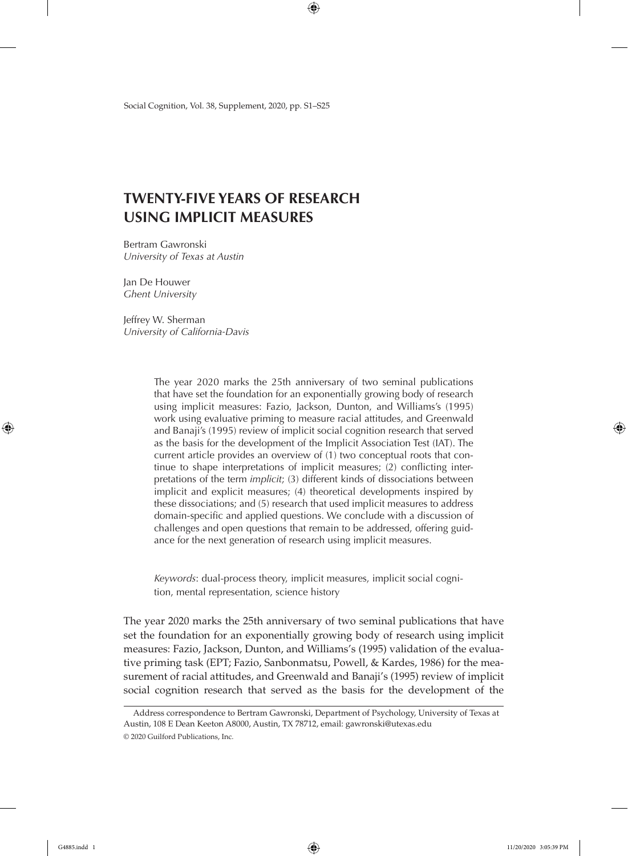# **TWENTY-FIVE YEARS OF RESEARCH USING IMPLICIT MEASURES**

Bertram Gawronski *University of Texas at Austin*

Jan De Houwer *Ghent University*

Jeffrey W. Sherman *University of California-Davis* 

> The year 2020 marks the 25th anniversary of two seminal publications that have set the foundation for an exponentially growing body of research using implicit measures: Fazio, Jackson, Dunton, and Williams's (1995) work using evaluative priming to measure racial attitudes, and Greenwald and Banaji's (1995) review of implicit social cognition research that served as the basis for the development of the Implicit Association Test (IAT). The current article provides an overview of (1) two conceptual roots that continue to shape interpretations of implicit measures; (2) conflicting interpretations of the term *implicit*; (3) different kinds of dissociations between implicit and explicit measures; (4) theoretical developments inspired by these dissociations; and (5) research that used implicit measures to address domain-specific and applied questions. We conclude with a discussion of challenges and open questions that remain to be addressed, offering guidance for the next generation of research using implicit measures.

*Keywords*: dual-process theory, implicit measures, implicit social cognition, mental representation, science history

The year 2020 marks the 25th anniversary of two seminal publications that have set the foundation for an exponentially growing body of research using implicit measures: Fazio, Jackson, Dunton, and Williams's (1995) validation of the evaluative priming task (EPT; Fazio, Sanbonmatsu, Powell, & Kardes, 1986) for the measurement of racial attitudes, and Greenwald and Banaji's (1995) review of implicit social cognition research that served as the basis for the development of the

<sup>© 2020</sup> Guilford Publications, Inc. Address correspondence to Bertram Gawronski, Department of Psychology, University of Texas at Austin, 108 E Dean Keeton A8000, Austin, TX 78712, email: gawronski@utexas.edu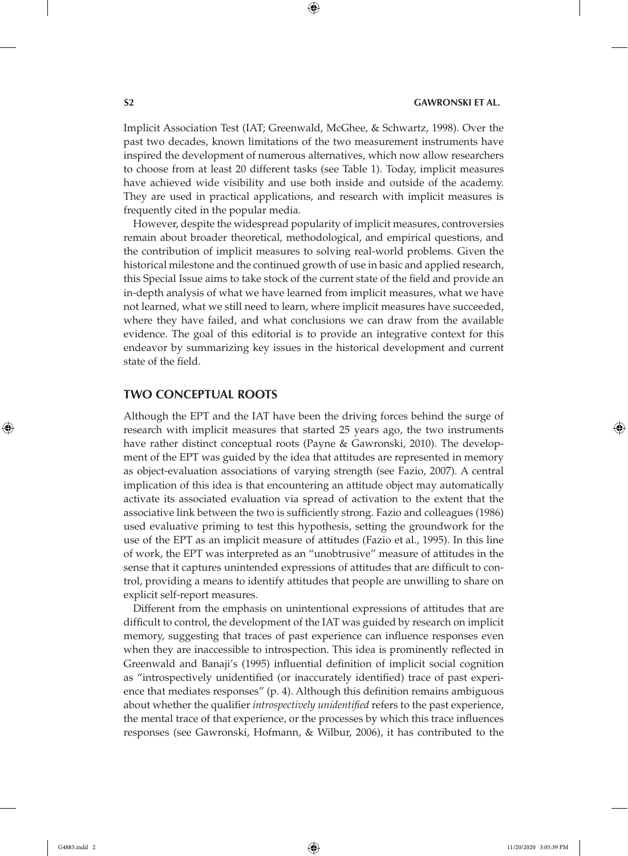Implicit Association Test (IAT; Greenwald, McGhee, & Schwartz, 1998). Over the past two decades, known limitations of the two measurement instruments have inspired the development of numerous alternatives, which now allow researchers to choose from at least 20 different tasks (see Table 1). Today, implicit measures have achieved wide visibility and use both inside and outside of the academy. They are used in practical applications, and research with implicit measures is frequently cited in the popular media.

However, despite the widespread popularity of implicit measures, controversies remain about broader theoretical, methodological, and empirical questions, and the contribution of implicit measures to solving real-world problems. Given the historical milestone and the continued growth of use in basic and applied research, this Special Issue aims to take stock of the current state of the field and provide an in-depth analysis of what we have learned from implicit measures, what we have not learned, what we still need to learn, where implicit measures have succeeded, where they have failed, and what conclusions we can draw from the available evidence. The goal of this editorial is to provide an integrative context for this endeavor by summarizing key issues in the historical development and current state of the field.

# **TWO CONCEPTUAL ROOTS**

Although the EPT and the IAT have been the driving forces behind the surge of research with implicit measures that started 25 years ago, the two instruments have rather distinct conceptual roots (Payne & Gawronski, 2010). The development of the EPT was guided by the idea that attitudes are represented in memory as object-evaluation associations of varying strength (see Fazio, 2007). A central implication of this idea is that encountering an attitude object may automatically activate its associated evaluation via spread of activation to the extent that the associative link between the two is sufficiently strong. Fazio and colleagues (1986) used evaluative priming to test this hypothesis, setting the groundwork for the use of the EPT as an implicit measure of attitudes (Fazio et al., 1995). In this line of work, the EPT was interpreted as an "unobtrusive" measure of attitudes in the sense that it captures unintended expressions of attitudes that are difficult to control, providing a means to identify attitudes that people are unwilling to share on explicit self-report measures.

Different from the emphasis on unintentional expressions of attitudes that are difficult to control, the development of the IAT was guided by research on implicit memory, suggesting that traces of past experience can influence responses even when they are inaccessible to introspection. This idea is prominently reflected in Greenwald and Banaji's (1995) influential definition of implicit social cognition as "introspectively unidentified (or inaccurately identified) trace of past experience that mediates responses" (p. 4). Although this definition remains ambiguous about whether the qualifier *introspectively unidentified* refers to the past experience, the mental trace of that experience, or the processes by which this trace influences responses (see Gawronski, Hofmann, & Wilbur, 2006), it has contributed to the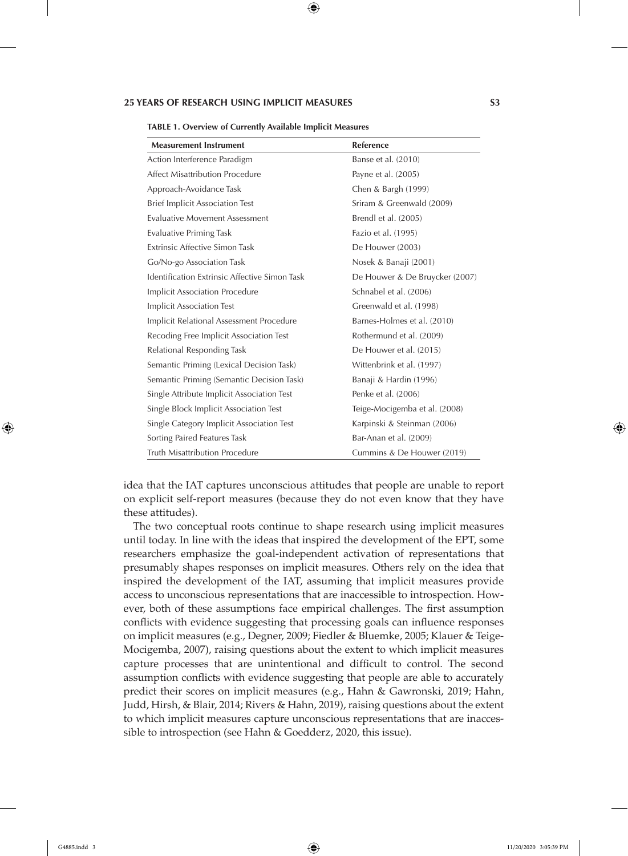| <b>Measurement Instrument</b>                 | <b>Reference</b>               |
|-----------------------------------------------|--------------------------------|
| Action Interference Paradigm                  | Banse et al. (2010)            |
| Affect Misattribution Procedure               | Payne et al. (2005)            |
| Approach-Avoidance Task                       | Chen & Bargh (1999)            |
| <b>Brief Implicit Association Test</b>        | Sriram & Greenwald (2009)      |
| <b>Evaluative Movement Assessment</b>         | Brendl et al. (2005)           |
| <b>Evaluative Priming Task</b>                | Fazio et al. (1995)            |
| Extrinsic Affective Simon Task                | De Houwer (2003)               |
| Go/No-go Association Task                     | Nosek & Banaji (2001)          |
| Identification Extrinsic Affective Simon Task | De Houwer & De Bruycker (2007) |
| <b>Implicit Association Procedure</b>         | Schnabel et al. (2006)         |
| <b>Implicit Association Test</b>              | Greenwald et al. (1998)        |
| Implicit Relational Assessment Procedure      | Barnes-Holmes et al. (2010)    |
| Recoding Free Implicit Association Test       | Rothermund et al. (2009)       |
| Relational Responding Task                    | De Houwer et al. (2015)        |
| Semantic Priming (Lexical Decision Task)      | Wittenbrink et al. (1997)      |
| Semantic Priming (Semantic Decision Task)     | Banaji & Hardin (1996)         |
| Single Attribute Implicit Association Test    | Penke et al. (2006)            |
| Single Block Implicit Association Test        | Teige-Mocigemba et al. (2008)  |
| Single Category Implicit Association Test     | Karpinski & Steinman (2006)    |
| Sorting Paired Features Task                  | Bar-Anan et al. (2009)         |
| <b>Truth Misattribution Procedure</b>         | Cummins & De Houwer (2019)     |

**TABLE 1. Overview of Currently Available Implicit Measures**

idea that the IAT captures unconscious attitudes that people are unable to report on explicit self-report measures (because they do not even know that they have these attitudes).

The two conceptual roots continue to shape research using implicit measures until today. In line with the ideas that inspired the development of the EPT, some researchers emphasize the goal-independent activation of representations that presumably shapes responses on implicit measures. Others rely on the idea that inspired the development of the IAT, assuming that implicit measures provide access to unconscious representations that are inaccessible to introspection. However, both of these assumptions face empirical challenges. The first assumption conflicts with evidence suggesting that processing goals can influence responses on implicit measures (e.g., Degner, 2009; Fiedler & Bluemke, 2005; Klauer & Teige-Mocigemba, 2007), raising questions about the extent to which implicit measures capture processes that are unintentional and difficult to control. The second assumption conflicts with evidence suggesting that people are able to accurately predict their scores on implicit measures (e.g., Hahn & Gawronski, 2019; Hahn, Judd, Hirsh, & Blair, 2014; Rivers & Hahn, 2019), raising questions about the extent to which implicit measures capture unconscious representations that are inaccessible to introspection (see Hahn & Goedderz, 2020, this issue).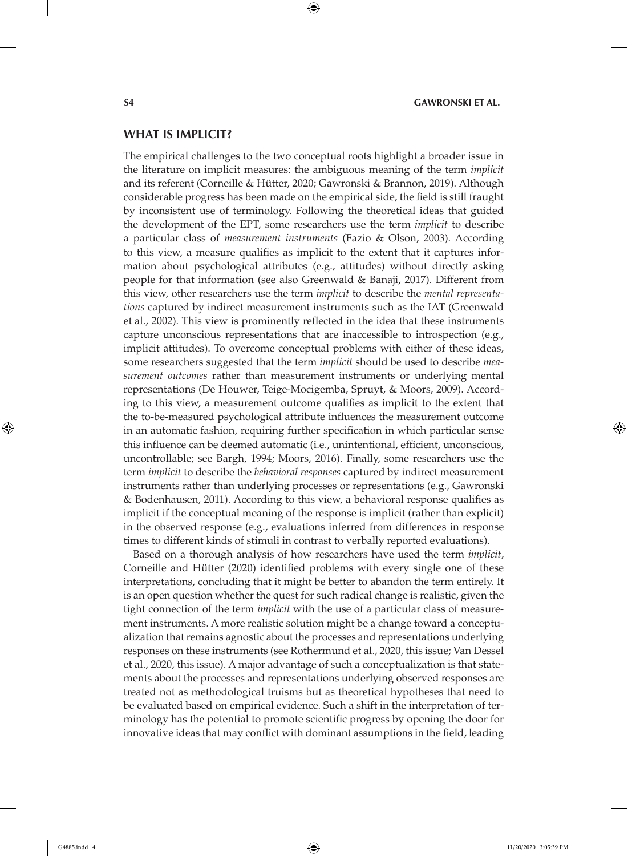# **WHAT IS IMPLICIT?**

The empirical challenges to the two conceptual roots highlight a broader issue in the literature on implicit measures: the ambiguous meaning of the term *implicit* and its referent (Corneille & Hütter, 2020; Gawronski & Brannon, 2019). Although considerable progress has been made on the empirical side, the field is still fraught by inconsistent use of terminology. Following the theoretical ideas that guided the development of the EPT, some researchers use the term *implicit* to describe a particular class of *measurement instruments* (Fazio & Olson, 2003). According to this view, a measure qualifies as implicit to the extent that it captures information about psychological attributes (e.g., attitudes) without directly asking people for that information (see also Greenwald & Banaji, 2017). Different from this view, other researchers use the term *implicit* to describe the *mental representations* captured by indirect measurement instruments such as the IAT (Greenwald et al., 2002). This view is prominently reflected in the idea that these instruments capture unconscious representations that are inaccessible to introspection (e.g., implicit attitudes). To overcome conceptual problems with either of these ideas, some researchers suggested that the term *implicit* should be used to describe *measurement outcomes* rather than measurement instruments or underlying mental representations (De Houwer, Teige-Mocigemba, Spruyt, & Moors, 2009). According to this view, a measurement outcome qualifies as implicit to the extent that the to-be-measured psychological attribute influences the measurement outcome in an automatic fashion, requiring further specification in which particular sense this influence can be deemed automatic (i.e., unintentional, efficient, unconscious, uncontrollable; see Bargh, 1994; Moors, 2016). Finally, some researchers use the term *implicit* to describe the *behavioral responses* captured by indirect measurement instruments rather than underlying processes or representations (e.g., Gawronski & Bodenhausen, 2011). According to this view, a behavioral response qualifies as implicit if the conceptual meaning of the response is implicit (rather than explicit) in the observed response (e.g., evaluations inferred from differences in response times to different kinds of stimuli in contrast to verbally reported evaluations).

Based on a thorough analysis of how researchers have used the term *implicit*, Corneille and Hütter (2020) identified problems with every single one of these interpretations, concluding that it might be better to abandon the term entirely. It is an open question whether the quest for such radical change is realistic, given the tight connection of the term *implicit* with the use of a particular class of measurement instruments. A more realistic solution might be a change toward a conceptualization that remains agnostic about the processes and representations underlying responses on these instruments (see Rothermund et al., 2020, this issue; Van Dessel et al., 2020, this issue). A major advantage of such a conceptualization is that statements about the processes and representations underlying observed responses are treated not as methodological truisms but as theoretical hypotheses that need to be evaluated based on empirical evidence. Such a shift in the interpretation of terminology has the potential to promote scientific progress by opening the door for innovative ideas that may conflict with dominant assumptions in the field, leading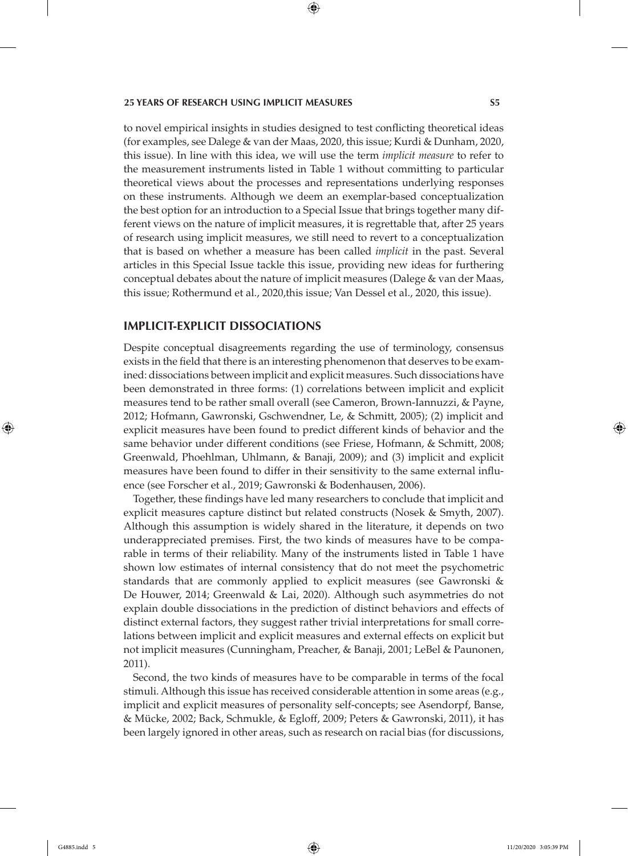to novel empirical insights in studies designed to test conflicting theoretical ideas (for examples, see Dalege & van der Maas, 2020, this issue; Kurdi & Dunham, 2020, this issue). In line with this idea, we will use the term *implicit measure* to refer to the measurement instruments listed in Table 1 without committing to particular theoretical views about the processes and representations underlying responses on these instruments. Although we deem an exemplar-based conceptualization the best option for an introduction to a Special Issue that brings together many different views on the nature of implicit measures, it is regrettable that, after 25 years of research using implicit measures, we still need to revert to a conceptualization that is based on whether a measure has been called *implicit* in the past. Several articles in this Special Issue tackle this issue, providing new ideas for furthering conceptual debates about the nature of implicit measures (Dalege & van der Maas, this issue; Rothermund et al., 2020,this issue; Van Dessel et al., 2020, this issue).

# **IMPLICIT-EXPLICIT DISSOCIATIONS**

Despite conceptual disagreements regarding the use of terminology, consensus exists in the field that there is an interesting phenomenon that deserves to be examined: dissociations between implicit and explicit measures. Such dissociations have been demonstrated in three forms: (1) correlations between implicit and explicit measures tend to be rather small overall (see Cameron, Brown-Iannuzzi, & Payne, 2012; Hofmann, Gawronski, Gschwendner, Le, & Schmitt, 2005); (2) implicit and explicit measures have been found to predict different kinds of behavior and the same behavior under different conditions (see Friese, Hofmann, & Schmitt, 2008; Greenwald, Phoehlman, Uhlmann, & Banaji, 2009); and (3) implicit and explicit measures have been found to differ in their sensitivity to the same external influence (see Forscher et al., 2019; Gawronski & Bodenhausen, 2006).

Together, these findings have led many researchers to conclude that implicit and explicit measures capture distinct but related constructs (Nosek & Smyth, 2007). Although this assumption is widely shared in the literature, it depends on two underappreciated premises. First, the two kinds of measures have to be comparable in terms of their reliability. Many of the instruments listed in Table 1 have shown low estimates of internal consistency that do not meet the psychometric standards that are commonly applied to explicit measures (see Gawronski & De Houwer, 2014; Greenwald & Lai, 2020). Although such asymmetries do not explain double dissociations in the prediction of distinct behaviors and effects of distinct external factors, they suggest rather trivial interpretations for small correlations between implicit and explicit measures and external effects on explicit but not implicit measures (Cunningham, Preacher, & Banaji, 2001; LeBel & Paunonen, 2011).

Second, the two kinds of measures have to be comparable in terms of the focal stimuli. Although this issue has received considerable attention in some areas (e.g., implicit and explicit measures of personality self-concepts; see Asendorpf, Banse, & Mücke, 2002; Back, Schmukle, & Egloff, 2009; Peters & Gawronski, 2011), it has been largely ignored in other areas, such as research on racial bias (for discussions,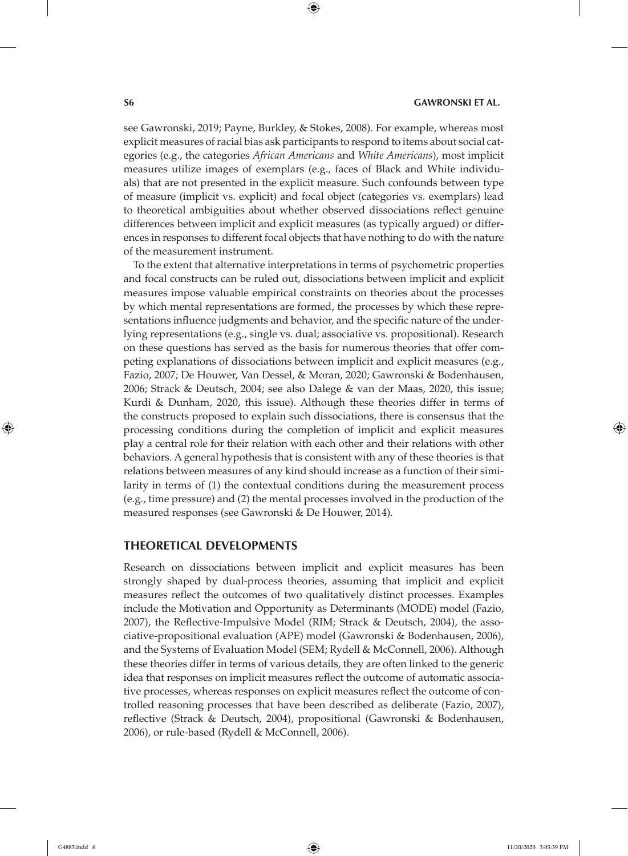see Gawronski, 2019; Payne, Burkley, & Stokes, 2008). For example, whereas most explicit measures of racial bias ask participants to respond to items about social categories (e.g., the categories *African Americans* and *White Americans*), most implicit measures utilize images of exemplars (e.g., faces of Black and White individuals) that are not presented in the explicit measure. Such confounds between type of measure (implicit vs. explicit) and focal object (categories vs. exemplars) lead to theoretical ambiguities about whether observed dissociations reflect genuine differences between implicit and explicit measures (as typically argued) or differences in responses to different focal objects that have nothing to do with the nature of the measurement instrument.

To the extent that alternative interpretations in terms of psychometric properties and focal constructs can be ruled out, dissociations between implicit and explicit measures impose valuable empirical constraints on theories about the processes by which mental representations are formed, the processes by which these representations influence judgments and behavior, and the specific nature of the underlying representations (e.g., single vs. dual; associative vs. propositional). Research on these questions has served as the basis for numerous theories that offer competing explanations of dissociations between implicit and explicit measures (e.g., Fazio, 2007; De Houwer, Van Dessel, & Moran, 2020; Gawronski & Bodenhausen, 2006; Strack & Deutsch, 2004; see also Dalege & van der Maas, 2020, this issue; Kurdi & Dunham, 2020, this issue). Although these theories differ in terms of the constructs proposed to explain such dissociations, there is consensus that the processing conditions during the completion of implicit and explicit measures play a central role for their relation with each other and their relations with other behaviors. A general hypothesis that is consistent with any of these theories is that relations between measures of any kind should increase as a function of their similarity in terms of (1) the contextual conditions during the measurement process (e.g., time pressure) and (2) the mental processes involved in the production of the measured responses (see Gawronski & De Houwer, 2014).

# **THEORETICAL DEVELOPMENTS**

Research on dissociations between implicit and explicit measures has been strongly shaped by dual-process theories, assuming that implicit and explicit measures reflect the outcomes of two qualitatively distinct processes. Examples include the Motivation and Opportunity as Determinants (MODE) model (Fazio, 2007), the Reflective-Impulsive Model (RIM; Strack & Deutsch, 2004), the associative-propositional evaluation (APE) model (Gawronski & Bodenhausen, 2006), and the Systems of Evaluation Model (SEM; Rydell & McConnell, 2006). Although these theories differ in terms of various details, they are often linked to the generic idea that responses on implicit measures reflect the outcome of automatic associative processes, whereas responses on explicit measures reflect the outcome of controlled reasoning processes that have been described as deliberate (Fazio, 2007), reflective (Strack & Deutsch, 2004), propositional (Gawronski & Bodenhausen, 2006), or rule-based (Rydell & McConnell, 2006).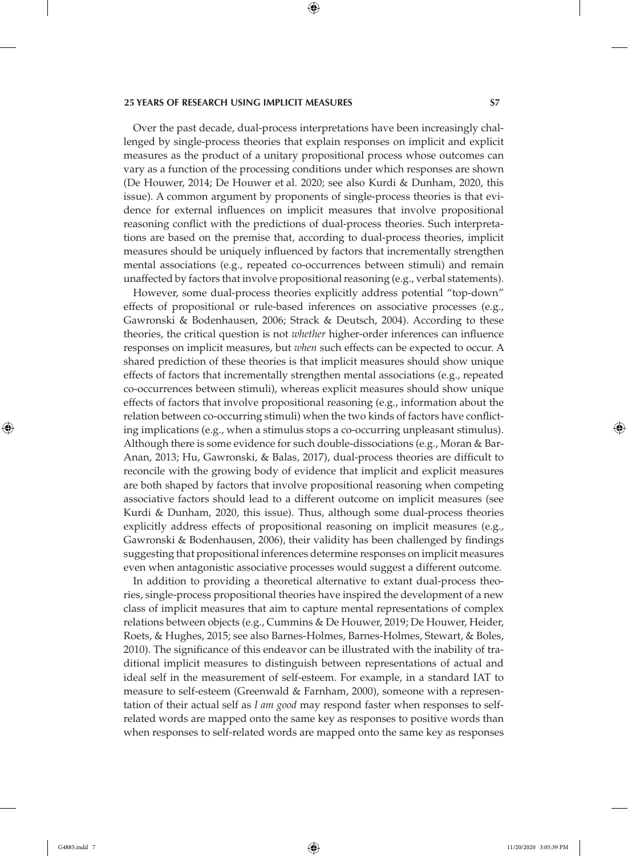Over the past decade, dual-process interpretations have been increasingly challenged by single-process theories that explain responses on implicit and explicit measures as the product of a unitary propositional process whose outcomes can vary as a function of the processing conditions under which responses are shown (De Houwer, 2014; De Houwer et al. 2020; see also Kurdi & Dunham, 2020, this issue). A common argument by proponents of single-process theories is that evidence for external influences on implicit measures that involve propositional reasoning conflict with the predictions of dual-process theories. Such interpretations are based on the premise that, according to dual-process theories, implicit measures should be uniquely influenced by factors that incrementally strengthen mental associations (e.g., repeated co-occurrences between stimuli) and remain unaffected by factors that involve propositional reasoning (e.g., verbal statements).

However, some dual-process theories explicitly address potential "top-down" effects of propositional or rule-based inferences on associative processes (e.g., Gawronski & Bodenhausen, 2006; Strack & Deutsch, 2004). According to these theories, the critical question is not *whether* higher-order inferences can influence responses on implicit measures, but *when* such effects can be expected to occur. A shared prediction of these theories is that implicit measures should show unique effects of factors that incrementally strengthen mental associations (e.g., repeated co-occurrences between stimuli), whereas explicit measures should show unique effects of factors that involve propositional reasoning (e.g., information about the relation between co-occurring stimuli) when the two kinds of factors have conflicting implications (e.g., when a stimulus stops a co-occurring unpleasant stimulus). Although there is some evidence for such double-dissociations (e.g., Moran & Bar-Anan, 2013; Hu, Gawronski, & Balas, 2017), dual-process theories are difficult to reconcile with the growing body of evidence that implicit and explicit measures are both shaped by factors that involve propositional reasoning when competing associative factors should lead to a different outcome on implicit measures (see Kurdi & Dunham, 2020, this issue). Thus, although some dual-process theories explicitly address effects of propositional reasoning on implicit measures (e.g., Gawronski & Bodenhausen, 2006), their validity has been challenged by findings suggesting that propositional inferences determine responses on implicit measures even when antagonistic associative processes would suggest a different outcome.

In addition to providing a theoretical alternative to extant dual-process theories, single-process propositional theories have inspired the development of a new class of implicit measures that aim to capture mental representations of complex relations between objects (e.g., Cummins & De Houwer, 2019; De Houwer, Heider, Roets, & Hughes, 2015; see also Barnes-Holmes, Barnes-Holmes, Stewart, & Boles, 2010). The significance of this endeavor can be illustrated with the inability of traditional implicit measures to distinguish between representations of actual and ideal self in the measurement of self-esteem. For example, in a standard IAT to measure to self-esteem (Greenwald & Farnham, 2000), someone with a representation of their actual self as *I am good* may respond faster when responses to selfrelated words are mapped onto the same key as responses to positive words than when responses to self-related words are mapped onto the same key as responses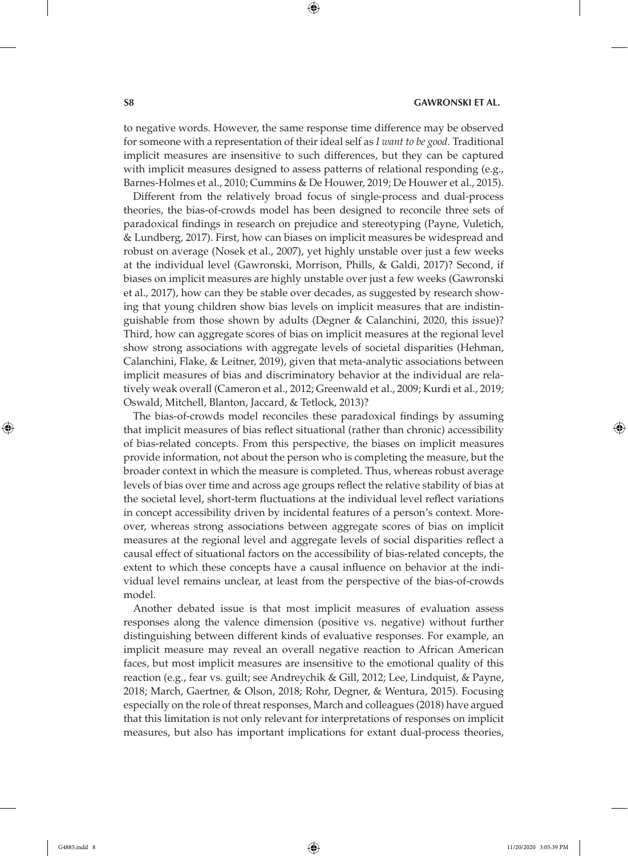to negative words. However, the same response time difference may be observed for someone with a representation of their ideal self as *I want to be good*. Traditional implicit measures are insensitive to such differences, but they can be captured with implicit measures designed to assess patterns of relational responding (e.g., Barnes-Holmes et al., 2010; Cummins & De Houwer, 2019; De Houwer et al., 2015).

Different from the relatively broad focus of single-process and dual-process theories, the bias-of-crowds model has been designed to reconcile three sets of paradoxical findings in research on prejudice and stereotyping (Payne, Vuletich, & Lundberg, 2017). First, how can biases on implicit measures be widespread and robust on average (Nosek et al., 2007), yet highly unstable over just a few weeks at the individual level (Gawronski, Morrison, Phills, & Galdi, 2017)? Second, if biases on implicit measures are highly unstable over just a few weeks (Gawronski et al., 2017), how can they be stable over decades, as suggested by research showing that young children show bias levels on implicit measures that are indistinguishable from those shown by adults (Degner & Calanchini, 2020, this issue)? Third, how can aggregate scores of bias on implicit measures at the regional level show strong associations with aggregate levels of societal disparities (Hehman, Calanchini, Flake, & Leitner, 2019), given that meta-analytic associations between implicit measures of bias and discriminatory behavior at the individual are relatively weak overall (Cameron et al., 2012; Greenwald et al., 2009; Kurdi et al., 2019; Oswald, Mitchell, Blanton, Jaccard, & Tetlock, 2013)?

The bias-of-crowds model reconciles these paradoxical findings by assuming that implicit measures of bias reflect situational (rather than chronic) accessibility of bias-related concepts. From this perspective, the biases on implicit measures provide information, not about the person who is completing the measure, but the broader context in which the measure is completed. Thus, whereas robust average levels of bias over time and across age groups reflect the relative stability of bias at the societal level, short-term fluctuations at the individual level reflect variations in concept accessibility driven by incidental features of a person's context. Moreover, whereas strong associations between aggregate scores of bias on implicit measures at the regional level and aggregate levels of social disparities reflect a causal effect of situational factors on the accessibility of bias-related concepts, the extent to which these concepts have a causal influence on behavior at the individual level remains unclear, at least from the perspective of the bias-of-crowds model.

Another debated issue is that most implicit measures of evaluation assess responses along the valence dimension (positive vs. negative) without further distinguishing between different kinds of evaluative responses. For example, an implicit measure may reveal an overall negative reaction to African American faces, but most implicit measures are insensitive to the emotional quality of this reaction (e.g., fear vs. guilt; see Andreychik & Gill, 2012; Lee, Lindquist, & Payne, 2018; March, Gaertner, & Olson, 2018; Rohr, Degner, & Wentura, 2015). Focusing especially on the role of threat responses, March and colleagues (2018) have argued that this limitation is not only relevant for interpretations of responses on implicit measures, but also has important implications for extant dual-process theories,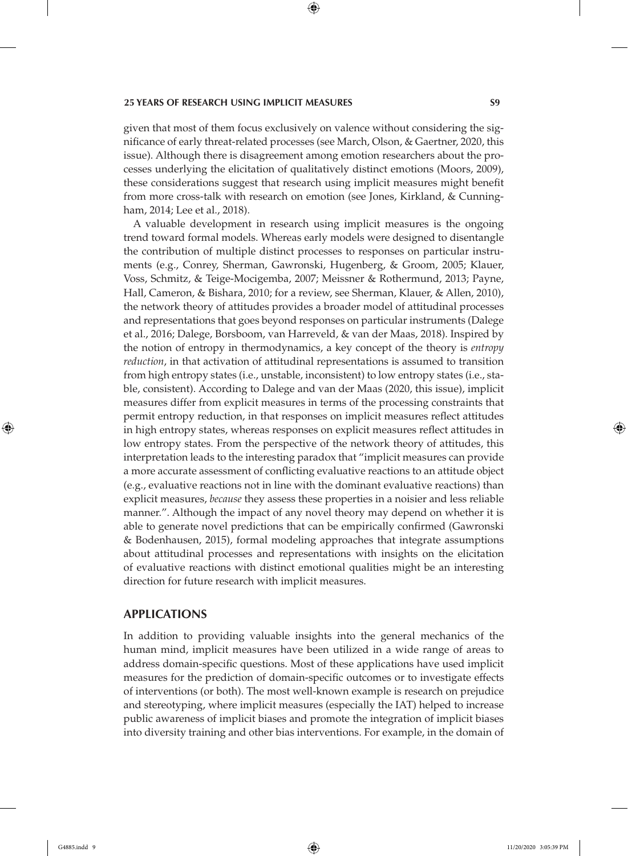given that most of them focus exclusively on valence without considering the significance of early threat-related processes (see March, Olson, & Gaertner, 2020, this issue). Although there is disagreement among emotion researchers about the processes underlying the elicitation of qualitatively distinct emotions (Moors, 2009), these considerations suggest that research using implicit measures might benefit from more cross-talk with research on emotion (see Jones, Kirkland, & Cunningham, 2014; Lee et al., 2018).

A valuable development in research using implicit measures is the ongoing trend toward formal models. Whereas early models were designed to disentangle the contribution of multiple distinct processes to responses on particular instruments (e.g., Conrey, Sherman, Gawronski, Hugenberg, & Groom, 2005; Klauer, Voss, Schmitz, & Teige-Mocigemba, 2007; Meissner & Rothermund, 2013; Payne, Hall, Cameron, & Bishara, 2010; for a review, see Sherman, Klauer, & Allen, 2010), the network theory of attitudes provides a broader model of attitudinal processes and representations that goes beyond responses on particular instruments (Dalege et al., 2016; Dalege, Borsboom, van Harreveld, & van der Maas, 2018). Inspired by the notion of entropy in thermodynamics, a key concept of the theory is *entropy reduction*, in that activation of attitudinal representations is assumed to transition from high entropy states (i.e., unstable, inconsistent) to low entropy states (i.e., stable, consistent). According to Dalege and van der Maas (2020, this issue), implicit measures differ from explicit measures in terms of the processing constraints that permit entropy reduction, in that responses on implicit measures reflect attitudes in high entropy states, whereas responses on explicit measures reflect attitudes in low entropy states. From the perspective of the network theory of attitudes, this interpretation leads to the interesting paradox that "implicit measures can provide a more accurate assessment of conflicting evaluative reactions to an attitude object (e.g., evaluative reactions not in line with the dominant evaluative reactions) than explicit measures, *because* they assess these properties in a noisier and less reliable manner.". Although the impact of any novel theory may depend on whether it is able to generate novel predictions that can be empirically confirmed (Gawronski & Bodenhausen, 2015), formal modeling approaches that integrate assumptions about attitudinal processes and representations with insights on the elicitation of evaluative reactions with distinct emotional qualities might be an interesting direction for future research with implicit measures.

# **APPLICATIONS**

In addition to providing valuable insights into the general mechanics of the human mind, implicit measures have been utilized in a wide range of areas to address domain-specific questions. Most of these applications have used implicit measures for the prediction of domain-specific outcomes or to investigate effects of interventions (or both). The most well-known example is research on prejudice and stereotyping, where implicit measures (especially the IAT) helped to increase public awareness of implicit biases and promote the integration of implicit biases into diversity training and other bias interventions. For example, in the domain of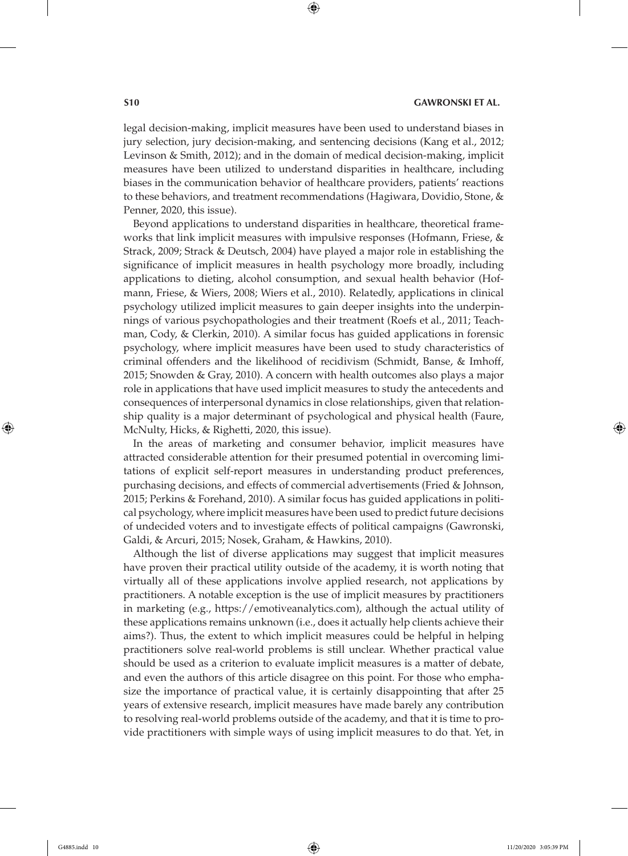legal decision-making, implicit measures have been used to understand biases in jury selection, jury decision-making, and sentencing decisions (Kang et al., 2012; Levinson & Smith, 2012); and in the domain of medical decision-making, implicit measures have been utilized to understand disparities in healthcare, including biases in the communication behavior of healthcare providers, patients' reactions to these behaviors, and treatment recommendations (Hagiwara, Dovidio, Stone, & Penner, 2020, this issue).

Beyond applications to understand disparities in healthcare, theoretical frameworks that link implicit measures with impulsive responses (Hofmann, Friese, & Strack, 2009; Strack & Deutsch, 2004) have played a major role in establishing the significance of implicit measures in health psychology more broadly, including applications to dieting, alcohol consumption, and sexual health behavior (Hofmann, Friese, & Wiers, 2008; Wiers et al., 2010). Relatedly, applications in clinical psychology utilized implicit measures to gain deeper insights into the underpinnings of various psychopathologies and their treatment (Roefs et al., 2011; Teachman, Cody, & Clerkin, 2010). A similar focus has guided applications in forensic psychology, where implicit measures have been used to study characteristics of criminal offenders and the likelihood of recidivism (Schmidt, Banse, & Imhoff, 2015; Snowden & Gray, 2010). A concern with health outcomes also plays a major role in applications that have used implicit measures to study the antecedents and consequences of interpersonal dynamics in close relationships, given that relationship quality is a major determinant of psychological and physical health (Faure, McNulty, Hicks, & Righetti, 2020, this issue).

In the areas of marketing and consumer behavior, implicit measures have attracted considerable attention for their presumed potential in overcoming limitations of explicit self-report measures in understanding product preferences, purchasing decisions, and effects of commercial advertisements (Fried & Johnson, 2015; Perkins & Forehand, 2010). A similar focus has guided applications in political psychology, where implicit measures have been used to predict future decisions of undecided voters and to investigate effects of political campaigns (Gawronski, Galdi, & Arcuri, 2015; Nosek, Graham, & Hawkins, 2010).

Although the list of diverse applications may suggest that implicit measures have proven their practical utility outside of the academy, it is worth noting that virtually all of these applications involve applied research, not applications by practitioners. A notable exception is the use of implicit measures by practitioners in marketing (e.g., https://emotiveanalytics.com), although the actual utility of these applications remains unknown (i.e., does it actually help clients achieve their aims?). Thus, the extent to which implicit measures could be helpful in helping practitioners solve real-world problems is still unclear. Whether practical value should be used as a criterion to evaluate implicit measures is a matter of debate, and even the authors of this article disagree on this point. For those who emphasize the importance of practical value, it is certainly disappointing that after 25 years of extensive research, implicit measures have made barely any contribution to resolving real-world problems outside of the academy, and that it is time to provide practitioners with simple ways of using implicit measures to do that. Yet, in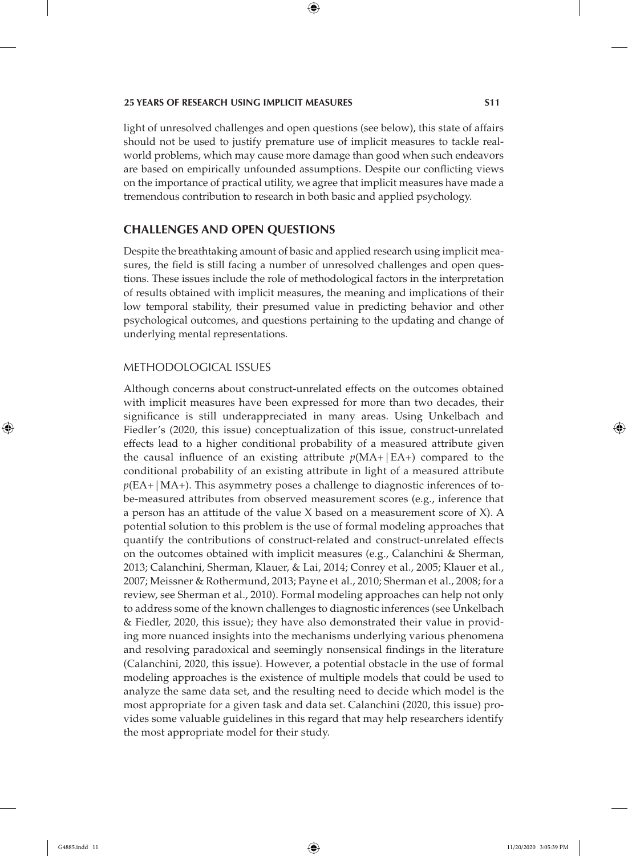light of unresolved challenges and open questions (see below), this state of affairs should not be used to justify premature use of implicit measures to tackle realworld problems, which may cause more damage than good when such endeavors are based on empirically unfounded assumptions. Despite our conflicting views on the importance of practical utility, we agree that implicit measures have made a tremendous contribution to research in both basic and applied psychology.

# **CHALLENGES AND OPEN QUESTIONS**

Despite the breathtaking amount of basic and applied research using implicit measures, the field is still facing a number of unresolved challenges and open questions. These issues include the role of methodological factors in the interpretation of results obtained with implicit measures, the meaning and implications of their low temporal stability, their presumed value in predicting behavior and other psychological outcomes, and questions pertaining to the updating and change of underlying mental representations.

# METHODOLOGICAL ISSUES

Although concerns about construct-unrelated effects on the outcomes obtained with implicit measures have been expressed for more than two decades, their significance is still underappreciated in many areas. Using Unkelbach and Fiedler's (2020, this issue) conceptualization of this issue, construct-unrelated effects lead to a higher conditional probability of a measured attribute given the causal influence of an existing attribute  $p(MA+|EA+)$  compared to the conditional probability of an existing attribute in light of a measured attribute *p*(EA+|MA+). This asymmetry poses a challenge to diagnostic inferences of tobe-measured attributes from observed measurement scores (e.g., inference that a person has an attitude of the value X based on a measurement score of X). A potential solution to this problem is the use of formal modeling approaches that quantify the contributions of construct-related and construct-unrelated effects on the outcomes obtained with implicit measures (e.g., Calanchini & Sherman, 2013; Calanchini, Sherman, Klauer, & Lai, 2014; Conrey et al., 2005; Klauer et al., 2007; Meissner & Rothermund, 2013; Payne et al., 2010; Sherman et al., 2008; for a review, see Sherman et al., 2010). Formal modeling approaches can help not only to address some of the known challenges to diagnostic inferences (see Unkelbach & Fiedler, 2020, this issue); they have also demonstrated their value in providing more nuanced insights into the mechanisms underlying various phenomena and resolving paradoxical and seemingly nonsensical findings in the literature (Calanchini, 2020, this issue). However, a potential obstacle in the use of formal modeling approaches is the existence of multiple models that could be used to analyze the same data set, and the resulting need to decide which model is the most appropriate for a given task and data set. Calanchini (2020, this issue) provides some valuable guidelines in this regard that may help researchers identify the most appropriate model for their study.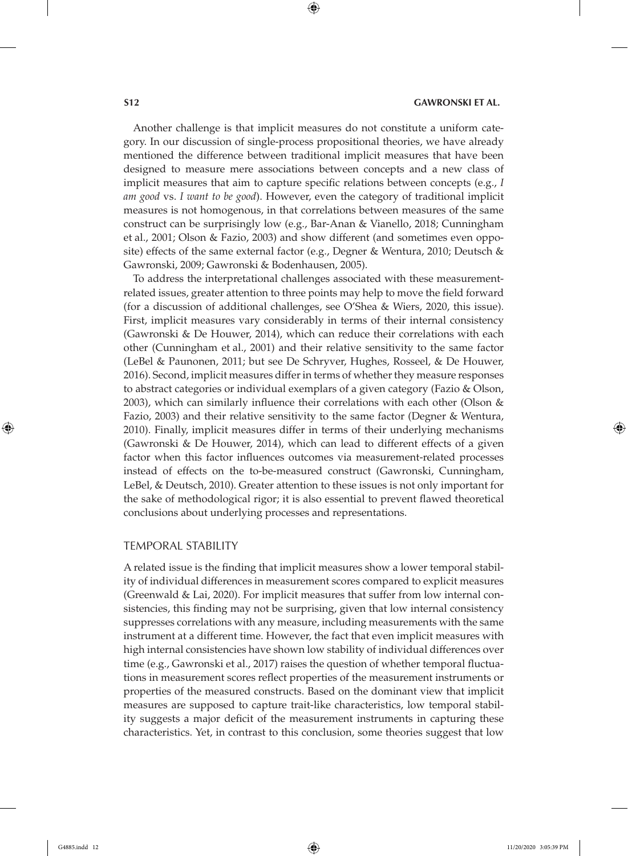Another challenge is that implicit measures do not constitute a uniform category. In our discussion of single-process propositional theories, we have already mentioned the difference between traditional implicit measures that have been designed to measure mere associations between concepts and a new class of implicit measures that aim to capture specific relations between concepts (e.g., *I am good* vs. *I want to be good*). However, even the category of traditional implicit measures is not homogenous, in that correlations between measures of the same construct can be surprisingly low (e.g., Bar-Anan & Vianello, 2018; Cunningham et al., 2001; Olson & Fazio, 2003) and show different (and sometimes even opposite) effects of the same external factor (e.g., Degner & Wentura, 2010; Deutsch & Gawronski, 2009; Gawronski & Bodenhausen, 2005).

To address the interpretational challenges associated with these measurementrelated issues, greater attention to three points may help to move the field forward (for a discussion of additional challenges, see O'Shea & Wiers, 2020, this issue). First, implicit measures vary considerably in terms of their internal consistency (Gawronski & De Houwer, 2014), which can reduce their correlations with each other (Cunningham et al., 2001) and their relative sensitivity to the same factor (LeBel & Paunonen, 2011; but see De Schryver, Hughes, Rosseel, & De Houwer, 2016). Second, implicit measures differ in terms of whether they measure responses to abstract categories or individual exemplars of a given category (Fazio & Olson, 2003), which can similarly influence their correlations with each other (Olson  $&$ Fazio, 2003) and their relative sensitivity to the same factor (Degner & Wentura, 2010). Finally, implicit measures differ in terms of their underlying mechanisms (Gawronski & De Houwer, 2014), which can lead to different effects of a given factor when this factor influences outcomes via measurement-related processes instead of effects on the to-be-measured construct (Gawronski, Cunningham, LeBel, & Deutsch, 2010). Greater attention to these issues is not only important for the sake of methodological rigor; it is also essential to prevent flawed theoretical conclusions about underlying processes and representations.

#### TEMPORAL STABILITY

A related issue is the finding that implicit measures show a lower temporal stability of individual differences in measurement scores compared to explicit measures (Greenwald & Lai, 2020). For implicit measures that suffer from low internal consistencies, this finding may not be surprising, given that low internal consistency suppresses correlations with any measure, including measurements with the same instrument at a different time. However, the fact that even implicit measures with high internal consistencies have shown low stability of individual differences over time (e.g., Gawronski et al., 2017) raises the question of whether temporal fluctuations in measurement scores reflect properties of the measurement instruments or properties of the measured constructs. Based on the dominant view that implicit measures are supposed to capture trait-like characteristics, low temporal stability suggests a major deficit of the measurement instruments in capturing these characteristics. Yet, in contrast to this conclusion, some theories suggest that low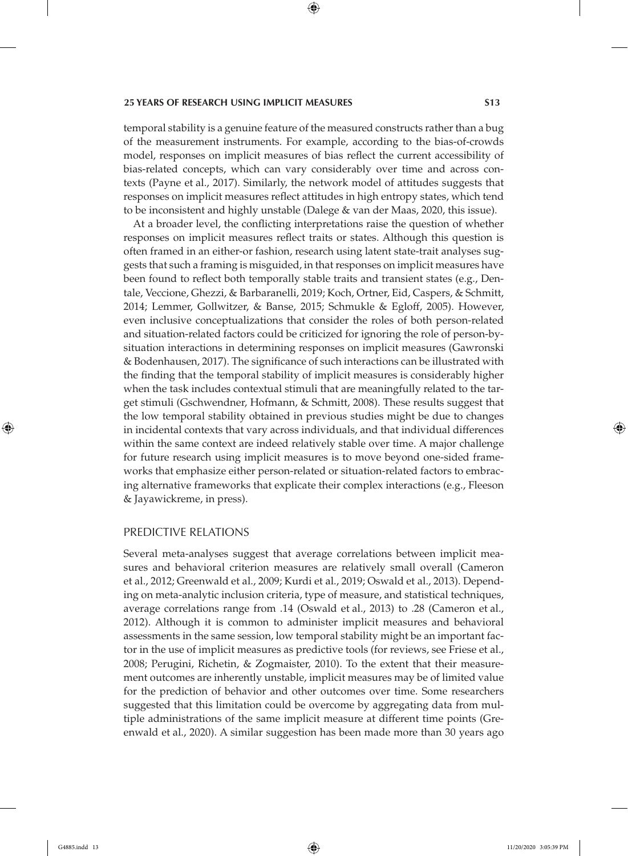temporal stability is a genuine feature of the measured constructs rather than a bug of the measurement instruments. For example, according to the bias-of-crowds model, responses on implicit measures of bias reflect the current accessibility of bias-related concepts, which can vary considerably over time and across contexts (Payne et al., 2017). Similarly, the network model of attitudes suggests that responses on implicit measures reflect attitudes in high entropy states, which tend to be inconsistent and highly unstable (Dalege & van der Maas, 2020, this issue).

At a broader level, the conflicting interpretations raise the question of whether responses on implicit measures reflect traits or states. Although this question is often framed in an either-or fashion, research using latent state-trait analyses suggests that such a framing is misguided, in that responses on implicit measures have been found to reflect both temporally stable traits and transient states (e.g., Dentale, Veccione, Ghezzi, & Barbaranelli, 2019; Koch, Ortner, Eid, Caspers, & Schmitt, 2014; Lemmer, Gollwitzer, & Banse, 2015; Schmukle & Egloff, 2005). However, even inclusive conceptualizations that consider the roles of both person-related and situation-related factors could be criticized for ignoring the role of person-bysituation interactions in determining responses on implicit measures (Gawronski & Bodenhausen, 2017). The significance of such interactions can be illustrated with the finding that the temporal stability of implicit measures is considerably higher when the task includes contextual stimuli that are meaningfully related to the target stimuli (Gschwendner, Hofmann, & Schmitt, 2008). These results suggest that the low temporal stability obtained in previous studies might be due to changes in incidental contexts that vary across individuals, and that individual differences within the same context are indeed relatively stable over time. A major challenge for future research using implicit measures is to move beyond one-sided frameworks that emphasize either person-related or situation-related factors to embracing alternative frameworks that explicate their complex interactions (e.g., Fleeson & Jayawickreme, in press).

### PREDICTIVE RELATIONS

Several meta-analyses suggest that average correlations between implicit measures and behavioral criterion measures are relatively small overall (Cameron et al., 2012; Greenwald et al., 2009; Kurdi et al., 2019; Oswald et al., 2013). Depending on meta-analytic inclusion criteria, type of measure, and statistical techniques, average correlations range from .14 (Oswald et al., 2013) to .28 (Cameron et al., 2012). Although it is common to administer implicit measures and behavioral assessments in the same session, low temporal stability might be an important factor in the use of implicit measures as predictive tools (for reviews, see Friese et al., 2008; Perugini, Richetin, & Zogmaister, 2010). To the extent that their measurement outcomes are inherently unstable, implicit measures may be of limited value for the prediction of behavior and other outcomes over time. Some researchers suggested that this limitation could be overcome by aggregating data from multiple administrations of the same implicit measure at different time points (Greenwald et al., 2020). A similar suggestion has been made more than 30 years ago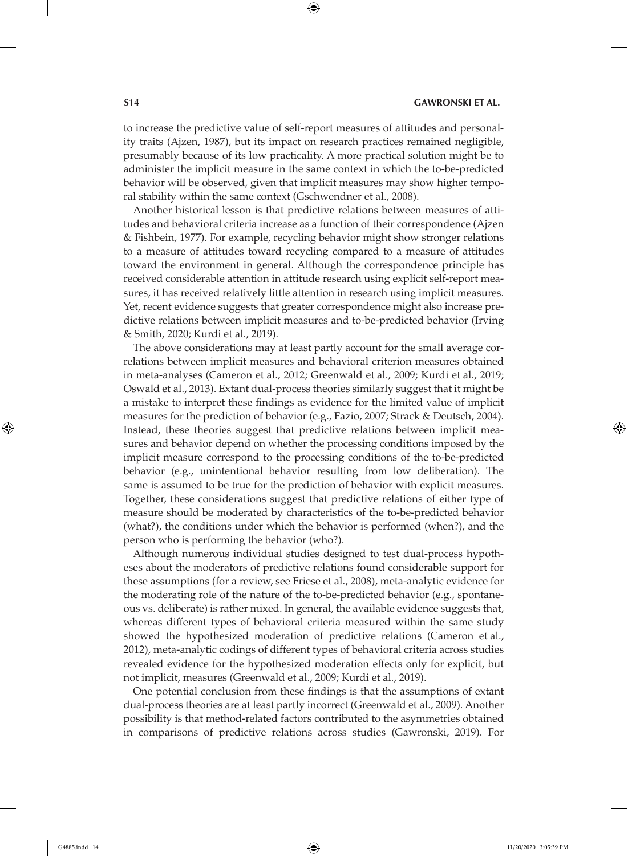to increase the predictive value of self-report measures of attitudes and personality traits (Ajzen, 1987), but its impact on research practices remained negligible, presumably because of its low practicality. A more practical solution might be to administer the implicit measure in the same context in which the to-be-predicted behavior will be observed, given that implicit measures may show higher temporal stability within the same context (Gschwendner et al., 2008).

Another historical lesson is that predictive relations between measures of attitudes and behavioral criteria increase as a function of their correspondence (Ajzen & Fishbein, 1977). For example, recycling behavior might show stronger relations to a measure of attitudes toward recycling compared to a measure of attitudes toward the environment in general. Although the correspondence principle has received considerable attention in attitude research using explicit self-report measures, it has received relatively little attention in research using implicit measures. Yet, recent evidence suggests that greater correspondence might also increase predictive relations between implicit measures and to-be-predicted behavior (Irving & Smith, 2020; Kurdi et al., 2019).

The above considerations may at least partly account for the small average correlations between implicit measures and behavioral criterion measures obtained in meta-analyses (Cameron et al., 2012; Greenwald et al., 2009; Kurdi et al., 2019; Oswald et al., 2013). Extant dual-process theories similarly suggest that it might be a mistake to interpret these findings as evidence for the limited value of implicit measures for the prediction of behavior (e.g., Fazio, 2007; Strack & Deutsch, 2004). Instead, these theories suggest that predictive relations between implicit measures and behavior depend on whether the processing conditions imposed by the implicit measure correspond to the processing conditions of the to-be-predicted behavior (e.g., unintentional behavior resulting from low deliberation). The same is assumed to be true for the prediction of behavior with explicit measures. Together, these considerations suggest that predictive relations of either type of measure should be moderated by characteristics of the to-be-predicted behavior (what?), the conditions under which the behavior is performed (when?), and the person who is performing the behavior (who?).

Although numerous individual studies designed to test dual-process hypotheses about the moderators of predictive relations found considerable support for these assumptions (for a review, see Friese et al., 2008), meta-analytic evidence for the moderating role of the nature of the to-be-predicted behavior (e.g., spontaneous vs. deliberate) is rather mixed. In general, the available evidence suggests that, whereas different types of behavioral criteria measured within the same study showed the hypothesized moderation of predictive relations (Cameron et al., 2012), meta-analytic codings of different types of behavioral criteria across studies revealed evidence for the hypothesized moderation effects only for explicit, but not implicit, measures (Greenwald et al., 2009; Kurdi et al., 2019).

One potential conclusion from these findings is that the assumptions of extant dual-process theories are at least partly incorrect (Greenwald et al., 2009). Another possibility is that method-related factors contributed to the asymmetries obtained in comparisons of predictive relations across studies (Gawronski, 2019). For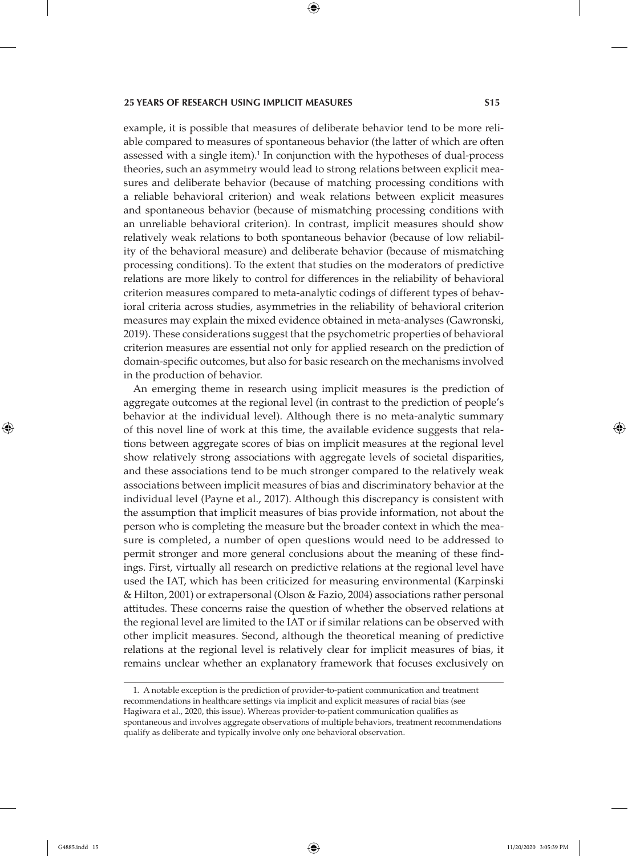example, it is possible that measures of deliberate behavior tend to be more reliable compared to measures of spontaneous behavior (the latter of which are often assessed with a single item $1$ <sup>1</sup> In conjunction with the hypotheses of dual-process theories, such an asymmetry would lead to strong relations between explicit measures and deliberate behavior (because of matching processing conditions with a reliable behavioral criterion) and weak relations between explicit measures and spontaneous behavior (because of mismatching processing conditions with an unreliable behavioral criterion). In contrast, implicit measures should show relatively weak relations to both spontaneous behavior (because of low reliability of the behavioral measure) and deliberate behavior (because of mismatching processing conditions). To the extent that studies on the moderators of predictive relations are more likely to control for differences in the reliability of behavioral criterion measures compared to meta-analytic codings of different types of behavioral criteria across studies, asymmetries in the reliability of behavioral criterion measures may explain the mixed evidence obtained in meta-analyses (Gawronski, 2019). These considerations suggest that the psychometric properties of behavioral criterion measures are essential not only for applied research on the prediction of domain-specific outcomes, but also for basic research on the mechanisms involved in the production of behavior.

An emerging theme in research using implicit measures is the prediction of aggregate outcomes at the regional level (in contrast to the prediction of people's behavior at the individual level). Although there is no meta-analytic summary of this novel line of work at this time, the available evidence suggests that relations between aggregate scores of bias on implicit measures at the regional level show relatively strong associations with aggregate levels of societal disparities, and these associations tend to be much stronger compared to the relatively weak associations between implicit measures of bias and discriminatory behavior at the individual level (Payne et al., 2017). Although this discrepancy is consistent with the assumption that implicit measures of bias provide information, not about the person who is completing the measure but the broader context in which the measure is completed, a number of open questions would need to be addressed to permit stronger and more general conclusions about the meaning of these findings. First, virtually all research on predictive relations at the regional level have used the IAT, which has been criticized for measuring environmental (Karpinski & Hilton, 2001) or extrapersonal (Olson & Fazio, 2004) associations rather personal attitudes. These concerns raise the question of whether the observed relations at the regional level are limited to the IAT or if similar relations can be observed with other implicit measures. Second, although the theoretical meaning of predictive relations at the regional level is relatively clear for implicit measures of bias, it remains unclear whether an explanatory framework that focuses exclusively on

<sup>1.</sup> A notable exception is the prediction of provider-to-patient communication and treatment recommendations in healthcare settings via implicit and explicit measures of racial bias (see Hagiwara et al., 2020, this issue). Whereas provider-to-patient communication qualifies as spontaneous and involves aggregate observations of multiple behaviors, treatment recommendations qualify as deliberate and typically involve only one behavioral observation.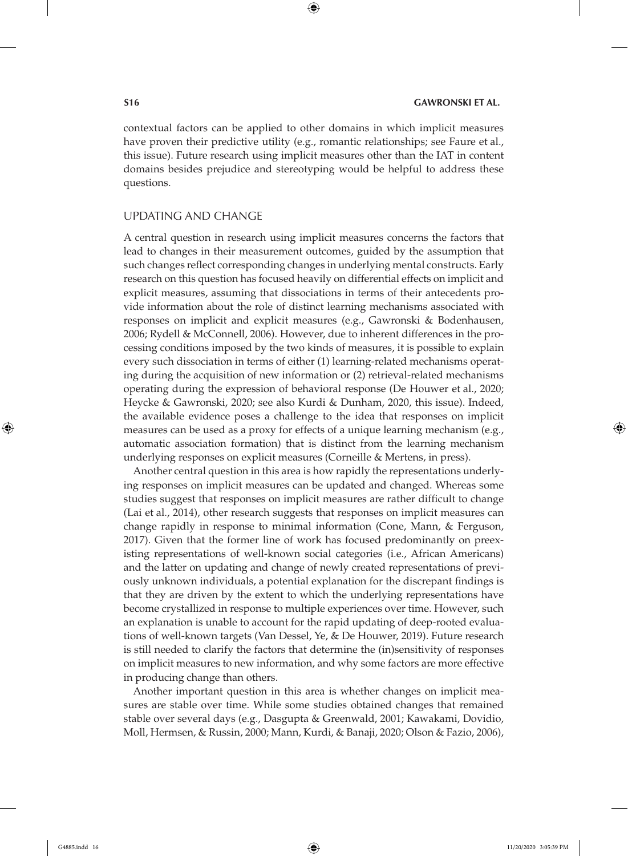contextual factors can be applied to other domains in which implicit measures have proven their predictive utility (e.g., romantic relationships; see Faure et al., this issue). Future research using implicit measures other than the IAT in content domains besides prejudice and stereotyping would be helpful to address these questions.

# UPDATING AND CHANGE

A central question in research using implicit measures concerns the factors that lead to changes in their measurement outcomes, guided by the assumption that such changes reflect corresponding changes in underlying mental constructs. Early research on this question has focused heavily on differential effects on implicit and explicit measures, assuming that dissociations in terms of their antecedents provide information about the role of distinct learning mechanisms associated with responses on implicit and explicit measures (e.g., Gawronski & Bodenhausen, 2006; Rydell & McConnell, 2006). However, due to inherent differences in the processing conditions imposed by the two kinds of measures, it is possible to explain every such dissociation in terms of either (1) learning-related mechanisms operating during the acquisition of new information or (2) retrieval-related mechanisms operating during the expression of behavioral response (De Houwer et al., 2020; Heycke & Gawronski, 2020; see also Kurdi & Dunham, 2020, this issue). Indeed, the available evidence poses a challenge to the idea that responses on implicit measures can be used as a proxy for effects of a unique learning mechanism (e.g., automatic association formation) that is distinct from the learning mechanism underlying responses on explicit measures (Corneille & Mertens, in press).

Another central question in this area is how rapidly the representations underlying responses on implicit measures can be updated and changed. Whereas some studies suggest that responses on implicit measures are rather difficult to change (Lai et al., 2014), other research suggests that responses on implicit measures can change rapidly in response to minimal information (Cone, Mann, & Ferguson, 2017). Given that the former line of work has focused predominantly on preexisting representations of well-known social categories (i.e., African Americans) and the latter on updating and change of newly created representations of previously unknown individuals, a potential explanation for the discrepant findings is that they are driven by the extent to which the underlying representations have become crystallized in response to multiple experiences over time. However, such an explanation is unable to account for the rapid updating of deep-rooted evaluations of well-known targets (Van Dessel, Ye, & De Houwer, 2019). Future research is still needed to clarify the factors that determine the (in)sensitivity of responses on implicit measures to new information, and why some factors are more effective in producing change than others.

Another important question in this area is whether changes on implicit measures are stable over time. While some studies obtained changes that remained stable over several days (e.g., Dasgupta & Greenwald, 2001; Kawakami, Dovidio, Moll, Hermsen, & Russin, 2000; Mann, Kurdi, & Banaji, 2020; Olson & Fazio, 2006),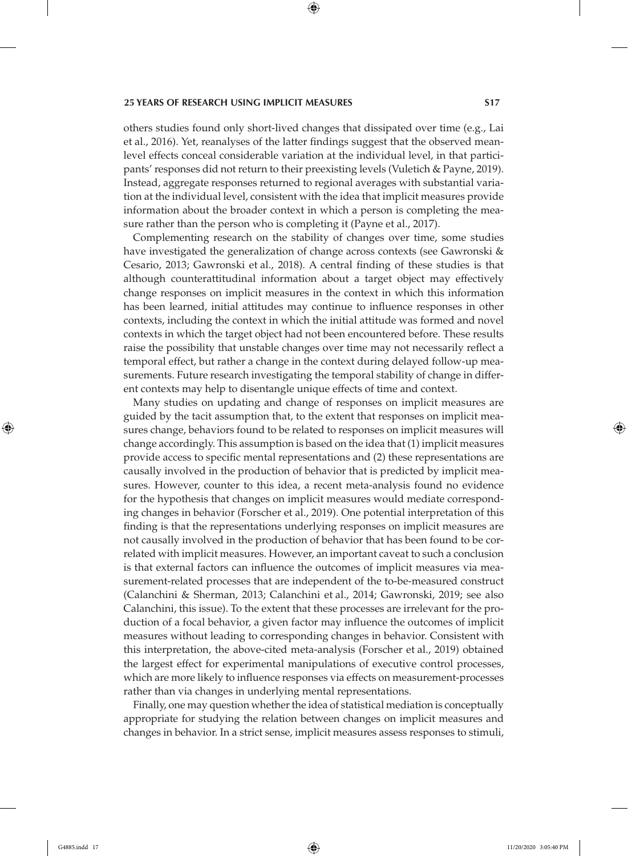others studies found only short-lived changes that dissipated over time (e.g., Lai et al., 2016). Yet, reanalyses of the latter findings suggest that the observed meanlevel effects conceal considerable variation at the individual level, in that participants' responses did not return to their preexisting levels (Vuletich & Payne, 2019). Instead, aggregate responses returned to regional averages with substantial variation at the individual level, consistent with the idea that implicit measures provide information about the broader context in which a person is completing the measure rather than the person who is completing it (Payne et al., 2017).

Complementing research on the stability of changes over time, some studies have investigated the generalization of change across contexts (see Gawronski & Cesario, 2013; Gawronski et al., 2018). A central finding of these studies is that although counterattitudinal information about a target object may effectively change responses on implicit measures in the context in which this information has been learned, initial attitudes may continue to influence responses in other contexts, including the context in which the initial attitude was formed and novel contexts in which the target object had not been encountered before. These results raise the possibility that unstable changes over time may not necessarily reflect a temporal effect, but rather a change in the context during delayed follow-up measurements. Future research investigating the temporal stability of change in different contexts may help to disentangle unique effects of time and context.

Many studies on updating and change of responses on implicit measures are guided by the tacit assumption that, to the extent that responses on implicit measures change, behaviors found to be related to responses on implicit measures will change accordingly. This assumption is based on the idea that (1) implicit measures provide access to specific mental representations and (2) these representations are causally involved in the production of behavior that is predicted by implicit measures. However, counter to this idea, a recent meta-analysis found no evidence for the hypothesis that changes on implicit measures would mediate corresponding changes in behavior (Forscher et al., 2019). One potential interpretation of this finding is that the representations underlying responses on implicit measures are not causally involved in the production of behavior that has been found to be correlated with implicit measures. However, an important caveat to such a conclusion is that external factors can influence the outcomes of implicit measures via measurement-related processes that are independent of the to-be-measured construct (Calanchini & Sherman, 2013; Calanchini et al., 2014; Gawronski, 2019; see also Calanchini, this issue). To the extent that these processes are irrelevant for the production of a focal behavior, a given factor may influence the outcomes of implicit measures without leading to corresponding changes in behavior. Consistent with this interpretation, the above-cited meta-analysis (Forscher et al., 2019) obtained the largest effect for experimental manipulations of executive control processes, which are more likely to influence responses via effects on measurement-processes rather than via changes in underlying mental representations.

Finally, one may question whether the idea of statistical mediation is conceptually appropriate for studying the relation between changes on implicit measures and changes in behavior. In a strict sense, implicit measures assess responses to stimuli,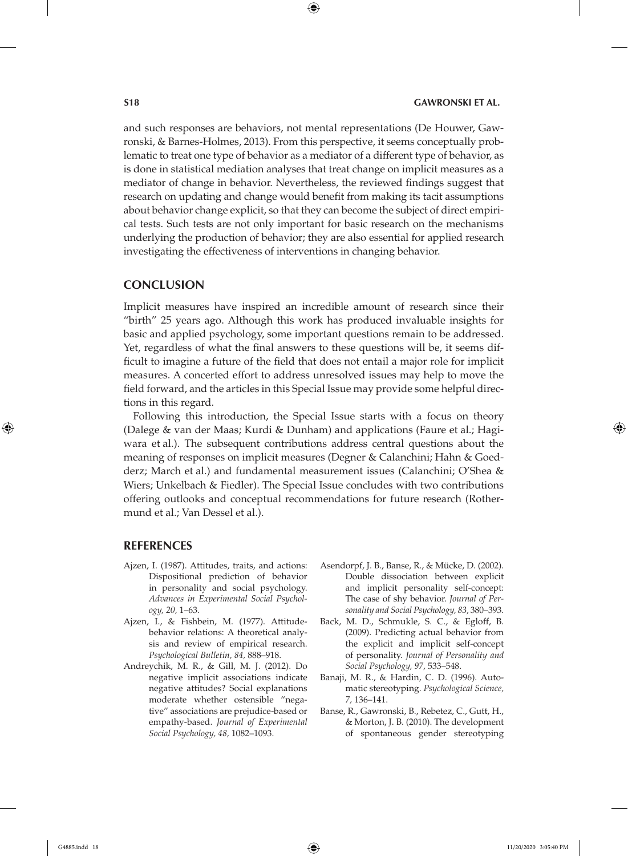and such responses are behaviors, not mental representations (De Houwer, Gawronski, & Barnes-Holmes, 2013). From this perspective, it seems conceptually problematic to treat one type of behavior as a mediator of a different type of behavior, as is done in statistical mediation analyses that treat change on implicit measures as a mediator of change in behavior. Nevertheless, the reviewed findings suggest that research on updating and change would benefit from making its tacit assumptions about behavior change explicit, so that they can become the subject of direct empirical tests. Such tests are not only important for basic research on the mechanisms underlying the production of behavior; they are also essential for applied research investigating the effectiveness of interventions in changing behavior.

# **CONCLUSION**

Implicit measures have inspired an incredible amount of research since their "birth" 25 years ago. Although this work has produced invaluable insights for basic and applied psychology, some important questions remain to be addressed. Yet, regardless of what the final answers to these questions will be, it seems difficult to imagine a future of the field that does not entail a major role for implicit measures. A concerted effort to address unresolved issues may help to move the field forward, and the articles in this Special Issue may provide some helpful directions in this regard.

Following this introduction, the Special Issue starts with a focus on theory (Dalege & van der Maas; Kurdi & Dunham) and applications (Faure et al.; Hagiwara et al.). The subsequent contributions address central questions about the meaning of responses on implicit measures (Degner & Calanchini; Hahn & Goedderz; March et al.) and fundamental measurement issues (Calanchini; O'Shea & Wiers; Unkelbach & Fiedler). The Special Issue concludes with two contributions offering outlooks and conceptual recommendations for future research (Rothermund et al.; Van Dessel et al.).

### **REFERENCES**

- Ajzen, I. (1987). Attitudes, traits, and actions: Dispositional prediction of behavior in personality and social psychology. *Advances in Experimental Social Psychology, 20,* 1–63.
- Ajzen, I., & Fishbein, M. (1977). Attitudebehavior relations: A theoretical analysis and review of empirical research. *Psychological Bulletin, 84,* 888–918.
- Andreychik, M. R., & Gill, M. J. (2012). Do negative implicit associations indicate negative attitudes? Social explanations moderate whether ostensible "negative" associations are prejudice-based or empathy-based. *Journal of Experimental Social Psychology, 48,* 1082–1093.
- Asendorpf, J. B., Banse, R., & Mücke, D. (2002). Double dissociation between explicit and implicit personality self-concept: The case of shy behavior. *Journal of Personality and Social Psychology, 83*, 380–393.
- Back, M. D., Schmukle, S. C., & Egloff, B. (2009). Predicting actual behavior from the explicit and implicit self-concept of personality. *Journal of Personality and Social Psychology, 97,* 533–548.
- Banaji, M. R., & Hardin, C. D. (1996). Automatic stereotyping. *Psychological Science, 7,* 136–141.
- Banse, R., Gawronski, B., Rebetez, C., Gutt, H., & Morton, J. B. (2010). The development of spontaneous gender stereotyping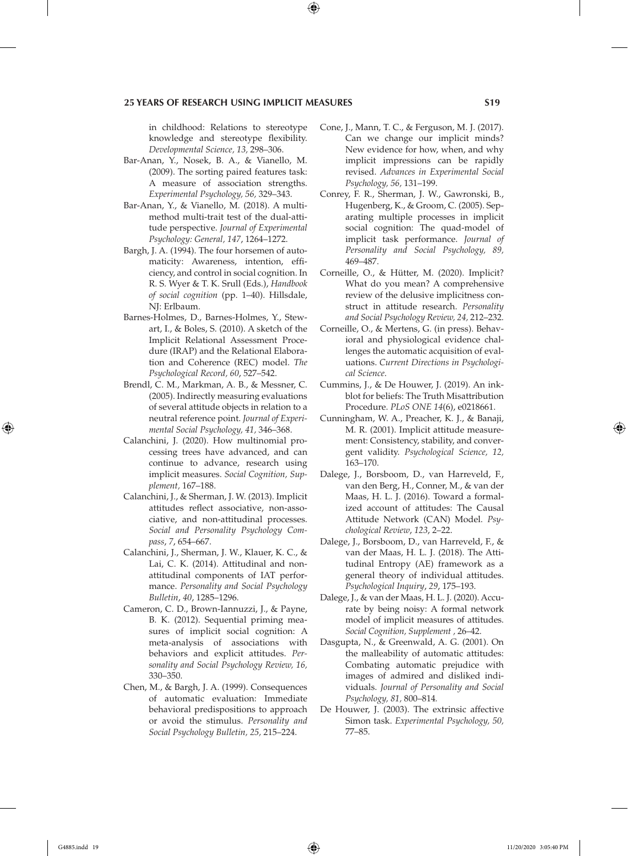in childhood: Relations to stereotype knowledge and stereotype flexibility. *Developmental Science, 13,* 298–306.

- Bar-Anan, Y., Nosek, B. A., & Vianello, M. (2009). The sorting paired features task: A measure of association strengths. *Experimental Psychology, 56,* 329–343.
- Bar-Anan, Y., & Vianello, M. (2018). A multimethod multi-trait test of the dual-attitude perspective. *Journal of Experimental Psychology: General, 147*, 1264–1272.
- Bargh, J. A. (1994). The four horsemen of automaticity: Awareness, intention, efficiency, and control in social cognition. In R. S. Wyer & T. K. Srull (Eds.), *Handbook of social cognition* (pp. 1–40). Hillsdale, NJ: Erlbaum.
- Barnes-Holmes, D., Barnes-Holmes, Y., Stewart, I., & Boles, S. (2010). A sketch of the Implicit Relational Assessment Procedure (IRAP) and the Relational Elaboration and Coherence (REC) model. *The Psychological Record, 60*, 527–542.
- Brendl, C. M., Markman, A. B., & Messner, C. (2005). Indirectly measuring evaluations of several attitude objects in relation to a neutral reference point. *Journal of Experimental Social Psychology, 41,* 346–368.
- Calanchini, J. (2020). How multinomial processing trees have advanced, and can continue to advance, research using implicit measures. *Social Cognition, Supplement,* 167–188.
- Calanchini, J., & Sherman, J. W. (2013). Implicit attitudes reflect associative, non-associative, and non-attitudinal processes. *Social and Personality Psychology Compass*, *7*, 654–667.
- Calanchini, J., Sherman, J. W., Klauer, K. C., & Lai, C. K. (2014). Attitudinal and nonattitudinal components of IAT performance. *Personality and Social Psychology Bulletin*, *40*, 1285–1296.
- Cameron, C. D., Brown-Iannuzzi, J., & Payne, B. K. (2012). Sequential priming measures of implicit social cognition: A meta-analysis of associations with behaviors and explicit attitudes. *Personality and Social Psychology Review, 16,* 330–350.
- Chen, M., & Bargh, J. A. (1999). Consequences of automatic evaluation: Immediate behavioral predispositions to approach or avoid the stimulus. *Personality and Social Psychology Bulletin, 25,* 215–224.
- Cone, J., Mann, T. C., & Ferguson, M. J. (2017). Can we change our implicit minds? New evidence for how, when, and why implicit impressions can be rapidly revised. *Advances in Experimental Social Psychology, 56,* 131–199.
- Conrey, F. R., Sherman, J. W., Gawronski, B., Hugenberg, K., & Groom, C. (2005). Separating multiple processes in implicit social cognition: The quad-model of implicit task performance. *Journal of Personality and Social Psychology, 89,* 469–487.
- Corneille, O., & Hütter, M. (2020). Implicit? What do you mean? A comprehensive review of the delusive implicitness construct in attitude research. *Personality and Social Psychology Review, 24,* 212–232.
- Corneille, O., & Mertens, G. (in press). Behavioral and physiological evidence challenges the automatic acquisition of evaluations. *Current Directions in Psychological Science*.
- Cummins, J., & De Houwer, J. (2019). An inkblot for beliefs: The Truth Misattribution Procedure. *PLoS ONE 14*(6), e0218661.
- Cunningham, W. A., Preacher, K. J., & Banaji, M. R. (2001). Implicit attitude measurement: Consistency, stability, and convergent validity. *Psychological Science, 12,*  163–170.
- Dalege, J., Borsboom, D., van Harreveld, F., van den Berg, H., Conner, M., & van der Maas, H. L. J. (2016). Toward a formalized account of attitudes: The Causal Attitude Network (CAN) Model. *Psychological Review*, *123*, 2–22.
- Dalege, J., Borsboom, D., van Harreveld, F., & van der Maas, H. L. J. (2018). The Attitudinal Entropy (AE) framework as a general theory of individual attitudes. *Psychological Inquiry*, *29*, 175–193.
- Dalege, J., & van der Maas, H. L. J. (2020). Accurate by being noisy: A formal network model of implicit measures of attitudes. *Social Cognition, Supplement ,* 26–42.
- Dasgupta, N., & Greenwald, A. G. (2001). On the malleability of automatic attitudes: Combating automatic prejudice with images of admired and disliked individuals. *Journal of Personality and Social Psychology, 81,* 800–814*.*
- De Houwer, J. (2003). The extrinsic affective Simon task. *Experimental Psychology, 50,* 77–85.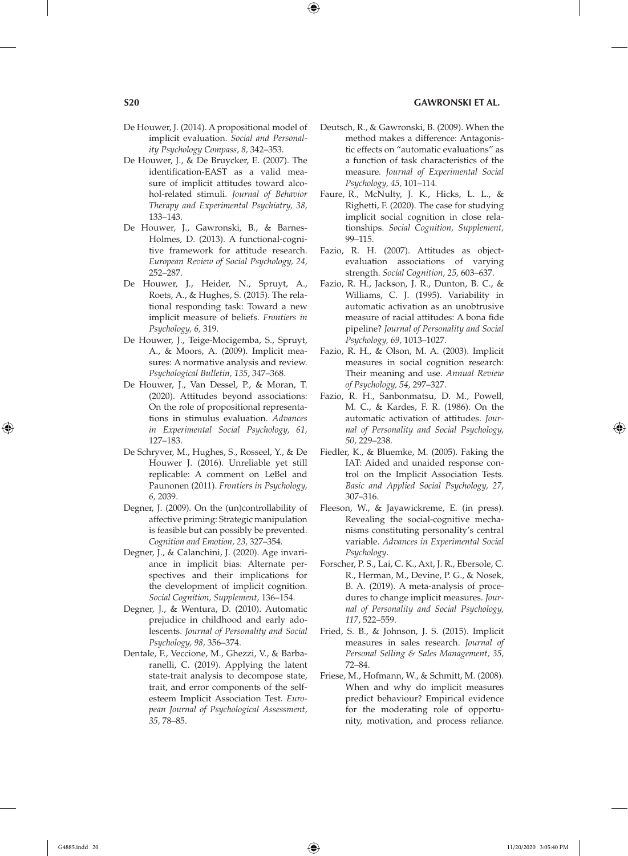- De Houwer, J. (2014). A propositional model of implicit evaluation. *Social and Personality Psychology Compass, 8,* 342–353.
- De Houwer, J., & De Bruycker, E. (2007). The identification-EAST as a valid measure of implicit attitudes toward alcohol-related stimuli. *Journal of Behavior Therapy and Experimental Psychiatry, 38,* 133–143.
- De Houwer, J., Gawronski, B., & Barnes-Holmes, D. (2013). A functional-cognitive framework for attitude research. *European Review of Social Psychology, 24,* 252–287.
- De Houwer, J., Heider, N., Spruyt, A., Roets, A., & Hughes, S. (2015). The relational responding task: Toward a new implicit measure of beliefs. *Frontiers in Psychology, 6,* 319.
- De Houwer, J., Teige-Mocigemba, S., Spruyt, A., & Moors, A. (2009). Implicit measures: A normative analysis and review. *Psychological Bulletin, 135*, 347–368.
- De Houwer, J., Van Dessel, P., & Moran, T. (2020). Attitudes beyond associations: On the role of propositional representations in stimulus evaluation. *Advances in Experimental Social Psychology, 61,* 127–183.
- De Schryver, M., Hughes, S., Rosseel, Y., & De Houwer J. (2016). Unreliable yet still replicable: A comment on LeBel and Paunonen (2011). *Frontiers in Psychology, 6,* 2039.
- Degner, J. (2009). On the (un)controllability of affective priming: Strategic manipulation is feasible but can possibly be prevented. *Cognition and Emotion, 23,* 327–354.
- Degner, J., & Calanchini, J. (2020). Age invariance in implicit bias: Alternate perspectives and their implications for the development of implicit cognition. *Social Cognition, Supplement,* 136–154.
- Degner, J., & Wentura, D. (2010). Automatic prejudice in childhood and early adolescents. *Journal of Personality and Social Psychology, 98,* 356–374.
- Dentale, F., Veccione, M., Ghezzi, V., & Barbaranelli, C. (2019). Applying the latent state-trait analysis to decompose state, trait, and error components of the selfesteem Implicit Association Test. *European Journal of Psychological Assessment, 35,* 78–85.
- Deutsch, R., & Gawronski, B. (2009). When the method makes a difference: Antagonistic effects on "automatic evaluations" as a function of task characteristics of the measure*. Journal of Experimental Social Psychology, 45,* 101–114.
- Faure, R., McNulty, J. K., Hicks, L. L., & Righetti, F. (2020). The case for studying implicit social cognition in close relationships. *Social Cognition, Supplement,*  99–115.
- Fazio, R. H. (2007). Attitudes as objectevaluation associations of varying strength. *Social Cognition, 25,* 603–637.
- Fazio, R. H., Jackson, J. R., Dunton, B. C., & Williams, C. J. (1995). Variability in automatic activation as an unobtrusive measure of racial attitudes: A bona fide pipeline? *Journal of Personality and Social Psychology, 69,* 1013–1027.
- Fazio, R. H., & Olson, M. A. (2003). Implicit measures in social cognition research: Their meaning and use. *Annual Review of Psychology, 54,* 297–327.
- Fazio, R. H., Sanbonmatsu, D. M., Powell, M. C., & Kardes, F. R. (1986). On the automatic activation of attitudes. *Journal of Personality and Social Psychology, 50,* 229–238.
- Fiedler, K., & Bluemke, M. (2005). Faking the IAT: Aided and unaided response control on the Implicit Association Tests. *Basic and Applied Social Psychology, 27,* 307–316.
- Fleeson, W., & Jayawickreme, E. (in press). Revealing the social-cognitive mechanisms constituting personality's central variable. *Advances in Experimental Social Psychology*.
- Forscher, P. S., Lai, C. K., Axt, J. R., Ebersole, C. R., Herman, M., Devine, P. G., & Nosek, B. A. (2019). A meta-analysis of procedures to change implicit measures. *Journal of Personality and Social Psychology, 117*, 522–559.
- Fried, S. B., & Johnson, J. S. (2015). Implicit measures in sales research. *Journal of Personal Selling & Sales Management, 35,* 72–84.
- Friese, M., Hofmann, W., & Schmitt, M. (2008). When and why do implicit measures predict behaviour? Empirical evidence for the moderating role of opportunity, motivation, and process reliance.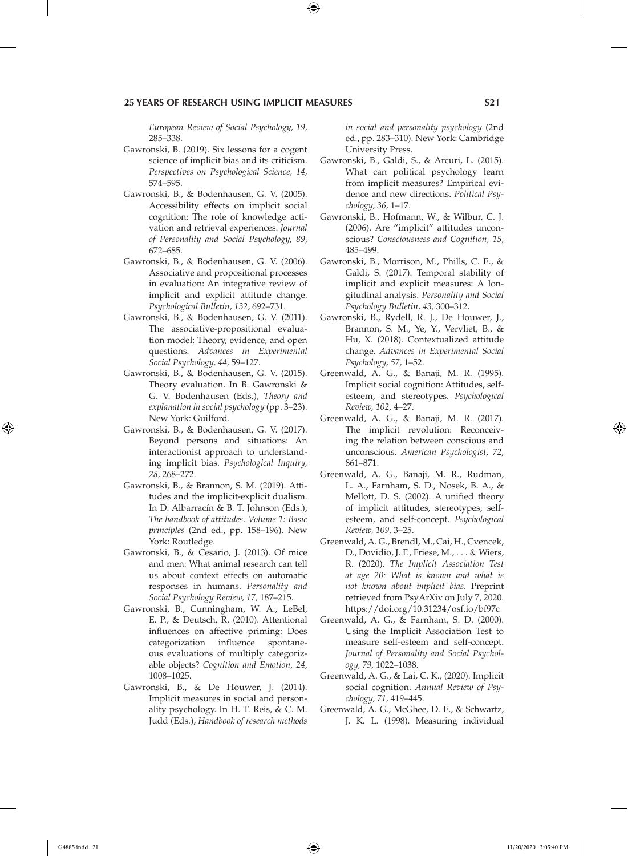*European Review of Social Psychology, 19,*  285–338.

- Gawronski, B. (2019). Six lessons for a cogent science of implicit bias and its criticism. *Perspectives on Psychological Science, 14,* 574–595.
- Gawronski, B., & Bodenhausen, G. V. (2005). Accessibility effects on implicit social cognition: The role of knowledge activation and retrieval experiences. *Journal of Personality and Social Psychology, 89*, 672–685.
- Gawronski, B., & Bodenhausen, G. V. (2006). Associative and propositional processes in evaluation: An integrative review of implicit and explicit attitude change. *Psychological Bulletin, 132*, 692–731.
- Gawronski, B., & Bodenhausen, G. V. (2011). The associative-propositional evaluation model: Theory, evidence, and open questions. *Advances in Experimental Social Psychology, 44,* 59–127.
- Gawronski, B., & Bodenhausen, G. V. (2015). Theory evaluation. In B. Gawronski & G. V. Bodenhausen (Eds.), *Theory and explanation in social psychology* (pp. 3–23). New York: Guilford.
- Gawronski, B., & Bodenhausen, G. V. (2017). Beyond persons and situations: An interactionist approach to understanding implicit bias. *Psychological Inquiry, 28,* 268–272.
- Gawronski, B., & Brannon, S. M. (2019). Attitudes and the implicit-explicit dualism. In D. Albarracín & B. T. Johnson (Eds.), *The handbook of attitudes. Volume 1: Basic principles* (2nd ed., pp. 158–196). New York: Routledge.
- Gawronski, B., & Cesario, J. (2013). Of mice and men: What animal research can tell us about context effects on automatic responses in humans. *Personality and Social Psychology Review, 17,* 187–215.
- Gawronski, B., Cunningham, W. A., LeBel, E. P., & Deutsch, R. (2010). Attentional influences on affective priming: Does categorization influence spontaneous evaluations of multiply categorizable objects? *Cognition and Emotion, 24*, 1008–1025.
- Gawronski, B., & De Houwer, J. (2014). Implicit measures in social and personality psychology. In H. T. Reis, & C. M. Judd (Eds.), *Handbook of research methods*

*in social and personality psychology* (2nd ed., pp. 283–310). New York: Cambridge University Press.

- Gawronski, B., Galdi, S., & Arcuri, L. (2015). What can political psychology learn from implicit measures? Empirical evidence and new directions. *Political Psychology, 36,* 1–17.
- Gawronski, B., Hofmann, W., & Wilbur, C. J. (2006). Are "implicit" attitudes unconscious? *Consciousness and Cognition, 15*, 485–499.
- Gawronski, B., Morrison, M., Phills, C. E., & Galdi, S. (2017). Temporal stability of implicit and explicit measures: A longitudinal analysis. *Personality and Social Psychology Bulletin, 43,* 300–312.
- Gawronski, B., Rydell, R. J., De Houwer, J., Brannon, S. M., Ye, Y., Vervliet, B., & Hu, X. (2018). Contextualized attitude change. *Advances in Experimental Social Psychology, 57,* 1–52.
- Greenwald, A. G., & Banaji, M. R. (1995). Implicit social cognition: Attitudes, selfesteem, and stereotypes. *Psychological Review, 102,* 4–27.
- Greenwald, A. G., & Banaji, M. R. (2017). The implicit revolution: Reconceiving the relation between conscious and unconscious. *American Psychologist*, *72*, 861–871.
- Greenwald, A. G., Banaji, M. R., Rudman, L. A., Farnham, S. D., Nosek, B. A., & Mellott, D. S. (2002). A unified theory of implicit attitudes, stereotypes, selfesteem, and self-concept. *Psychological Review, 109,* 3–25.
- Greenwald, A. G., Brendl, M., Cai, H., Cvencek, D., Dovidio, J. F., Friese, M., . . . & Wiers, R. (2020). *The Implicit Association Test at age 20: What is known and what is not known about implicit bias*. Preprint retrieved from PsyArXiv on July 7, 2020. https://doi.org/10.31234/osf.io/bf97c
- Greenwald, A. G., & Farnham, S. D. (2000). Using the Implicit Association Test to measure self-esteem and self-concept. *Journal of Personality and Social Psychology, 79,* 1022–1038.
- Greenwald, A. G., & Lai, C. K., (2020). Implicit social cognition. *Annual Review of Psychology, 71,* 419–445.
- Greenwald, A. G., McGhee, D. E., & Schwartz, J. K. L. (1998). Measuring individual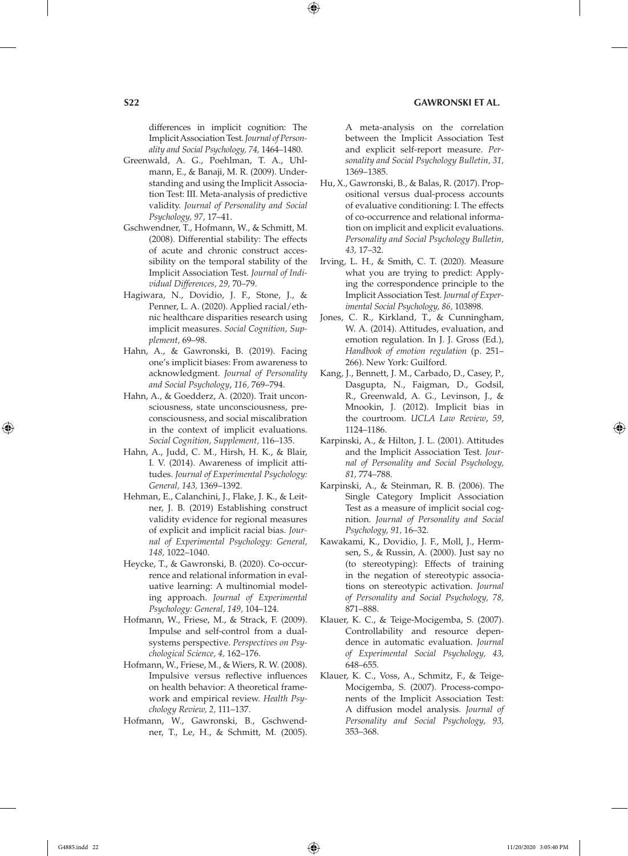differences in implicit cognition: The Implicit Association Test. *Journal of Personality and Social Psychology, 74,* 1464–1480.

- Greenwald, A. G., Poehlman, T. A., Uhlmann, E., & Banaji, M. R. (2009). Understanding and using the Implicit Association Test: III. Meta-analysis of predictive validity. *Journal of Personality and Social Psychology, 97,* 17–41.
- Gschwendner, T., Hofmann, W., & Schmitt, M. (2008). Differential stability: The effects of acute and chronic construct accessibility on the temporal stability of the Implicit Association Test. *Journal of Individual Differences, 29,* 70–79.
- Hagiwara, N., Dovidio, J. F., Stone, J., & Penner, L. A. (2020). Applied racial/ethnic healthcare disparities research using implicit measures. *Social Cognition, Supplement,* 69–98.
- Hahn, A., & Gawronski, B. (2019). Facing one's implicit biases: From awareness to acknowledgment. *Journal of Personality and Social Psychology*, *116,* 769–794.
- Hahn, A., & Goedderz, A. (2020). Trait unconsciousness, state unconsciousness, preconsciousness, and social miscalibration in the context of implicit evaluations. *Social Cognition, Supplement,* 116–135.
- Hahn, A., Judd, C. M., Hirsh, H. K., & Blair, I. V. (2014). Awareness of implicit attitudes. *Journal of Experimental Psychology: General, 143,* 1369–1392.
- Hehman, E., Calanchini, J., Flake, J. K., & Leitner, J. B. (2019) Establishing construct validity evidence for regional measures of explicit and implicit racial bias. *Journal of Experimental Psychology: General, 148,* 1022–1040.
- Heycke, T., & Gawronski, B. (2020). Co-occurrence and relational information in evaluative learning: A multinomial modeling approach. *Journal of Experimental Psychology: General, 149,* 104–124.
- Hofmann, W., Friese, M., & Strack, F. (2009). Impulse and self-control from a dualsystems perspective. *Perspectives on Psychological Science, 4,* 162–176.
- Hofmann, W., Friese, M., & Wiers, R. W. (2008). Impulsive versus reflective influences on health behavior: A theoretical framework and empirical review. *Health Psychology Review, 2,* 111–137.
- Hofmann, W., Gawronski, B., Gschwendner, T., Le, H., & Schmitt, M. (2005).

A meta-analysis on the correlation between the Implicit Association Test and explicit self-report measure. *Personality and Social Psychology Bulletin, 31,* 1369–1385.

- Hu, X., Gawronski, B., & Balas, R. (2017). Propositional versus dual-process accounts of evaluative conditioning: I. The effects of co-occurrence and relational information on implicit and explicit evaluations. *Personality and Social Psychology Bulletin, 43,* 17–32.
- Irving, L. H., & Smith, C. T. (2020). Measure what you are trying to predict: Applying the correspondence principle to the Implicit Association Test. *Journal of Experimental Social Psychology, 86,* 103898.
- Jones, C. R., Kirkland, T., & Cunningham, W. A. (2014). Attitudes, evaluation, and emotion regulation. In J. J. Gross (Ed.), *Handbook of emotion regulation* (p. 251– 266). New York: Guilford.
- Kang, J., Bennett, J. M., Carbado, D., Casey, P., Dasgupta, N., Faigman, D., Godsil, R., Greenwald, A. G., Levinson, J., & Mnookin, J. (2012). Implicit bias in the courtroom. *UCLA Law Review*, *59*, 1124–1186.
- Karpinski, A., & Hilton, J. L. (2001). Attitudes and the Implicit Association Test. *Journal of Personality and Social Psychology, 81,* 774–788*.*
- Karpinski, A., & Steinman, R. B. (2006). The Single Category Implicit Association Test as a measure of implicit social cognition. *Journal of Personality and Social Psychology, 91,* 16–32.
- Kawakami, K., Dovidio, J. F., Moll, J., Hermsen, S., & Russin, A. (2000). Just say no (to stereotyping): Effects of training in the negation of stereotypic associations on stereotypic activation. *Journal of Personality and Social Psychology, 78,*  871–888.
- Klauer, K. C., & Teige-Mocigemba, S. (2007). Controllability and resource dependence in automatic evaluation. *Journal of Experimental Social Psychology, 43,* 648–655*.*
- Klauer, K. C., Voss, A., Schmitz, F., & Teige-Mocigemba, S. (2007). Process-components of the Implicit Association Test: A diffusion model analysis. *Journal of Personality and Social Psychology, 93,* 353–368.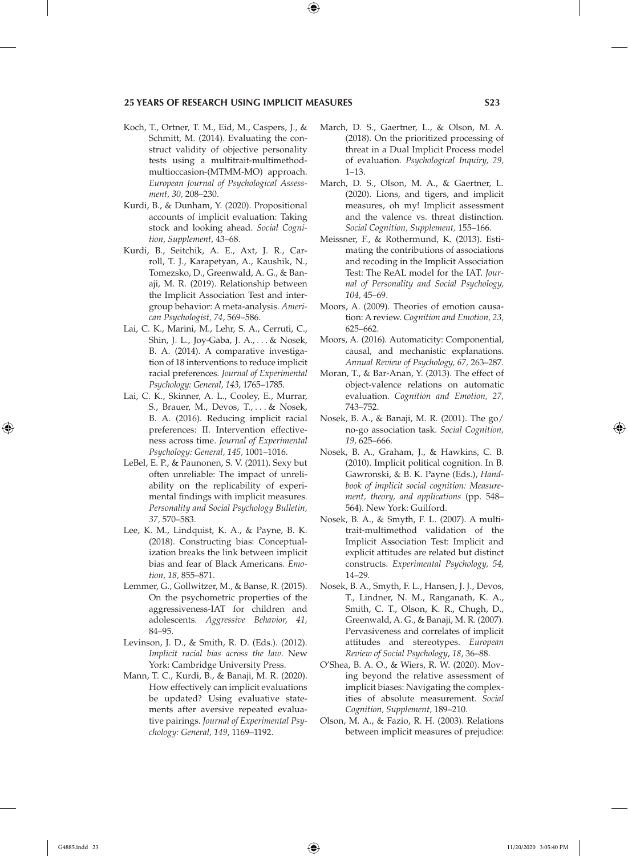- Koch, T., Ortner, T. M., Eid, M., Caspers, J., & Schmitt, M. (2014). Evaluating the construct validity of objective personality tests using a multitrait-multimethodmultioccasion-(MTMM-MO) approach. *European Journal of Psychological Assessment, 30,* 208–230.
- Kurdi, B., & Dunham, Y. (2020). Propositional accounts of implicit evaluation: Taking stock and looking ahead. *Social Cognition, Supplement,* 43–68.
- Kurdi, B., Seitchik, A. E., Axt, J. R., Carroll, T. J., Karapetyan, A., Kaushik, N., Tomezsko, D., Greenwald, A. G., & Banaji, M. R. (2019). Relationship between the Implicit Association Test and intergroup behavior: A meta-analysis. *American Psychologist, 74*, 569–586.
- Lai, C. K., Marini, M., Lehr, S. A., Cerruti, C., Shin, J. L., Joy-Gaba, J. A., . . . & Nosek, B. A. (2014). A comparative investigation of 18 interventions to reduce implicit racial preferences. *Journal of Experimental Psychology: General, 143,* 1765–1785.
- Lai, C. K., Skinner, A. L., Cooley, E., Murrar, S., Brauer, M., Devos, T., . . . & Nosek, B. A. (2016). Reducing implicit racial preferences: II. Intervention effectiveness across time. *Journal of Experimental Psychology: General, 145,* 1001–1016.
- LeBel, E. P., & Paunonen, S. V. (2011). Sexy but often unreliable: The impact of unreliability on the replicability of experimental findings with implicit measures. *Personality and Social Psychology Bulletin, 37,* 570–583.
- Lee, K. M., Lindquist, K. A., & Payne, B. K. (2018). Constructing bias: Conceptualization breaks the link between implicit bias and fear of Black Americans. *Emotion, 18,* 855–871.
- Lemmer, G., Gollwitzer, M., & Banse, R. (2015). On the psychometric properties of the aggressiveness-IAT for children and adolescents. *Aggressive Behavior, 41,* 84–95.
- Levinson, J. D., & Smith, R. D. (Eds.). (2012). *Implicit racial bias across the law*. New York: Cambridge University Press.
- Mann, T. C., Kurdi, B., & Banaji, M. R. (2020). How effectively can implicit evaluations be updated? Using evaluative statements after aversive repeated evaluative pairings. *Journal of Experimental Psychology: General, 149*, 1169–1192.
- March, D. S., Gaertner, L., & Olson, M. A. (2018). On the prioritized processing of threat in a Dual Implicit Process model of evaluation. *Psychological Inquiry, 29,*  1–13.
- March, D. S., Olson, M. A., & Gaertner, L. (2020). Lions, and tigers, and implicit measures, oh my! Implicit assessment and the valence vs. threat distinction. *Social Cognition, Supplement,* 155–166.
- Meissner, F., & Rothermund, K. (2013). Estimating the contributions of associations and recoding in the Implicit Association Test: The ReAL model for the IAT. *Journal of Personality and Social Psychology, 104,* 45–69.
- Moors, A. (2009). Theories of emotion causation: A review. *Cognition and Emotion, 23,* 625–662.
- Moors, A. (2016). Automaticity: Componential, causal, and mechanistic explanations. *Annual Review of Psychology, 67,* 263–287.
- Moran, T., & Bar-Anan, Y. (2013). The effect of object-valence relations on automatic evaluation. *Cognition and Emotion, 27,* 743–752.
- Nosek, B. A., & Banaji, M. R. (2001). The go/ no-go association task. *Social Cognition, 19,* 625–666.
- Nosek, B. A., Graham, J., & Hawkins, C. B. (2010). Implicit political cognition. In B. Gawronski, & B. K. Payne (Eds.), *Handbook of implicit social cognition: Measurement, theory, and applications* (pp. 548– 564)*.* New York: Guilford.
- Nosek, B. A., & Smyth, F. L. (2007). A multitrait-multimethod validation of the Implicit Association Test: Implicit and explicit attitudes are related but distinct constructs. *Experimental Psychology, 54,*  14–29*.*
- Nosek, B. A., Smyth, F. L., Hansen, J. J., Devos, T., Lindner, N. M., Ranganath, K. A., Smith, C. T., Olson, K. R., Chugh, D., Greenwald, A. G., & Banaji, M. R. (2007). Pervasiveness and correlates of implicit attitudes and stereotypes. *European Review of Social Psychology*, *18*, 36–88.
- O'Shea, B. A. O., & Wiers, R. W. (2020). Moving beyond the relative assessment of implicit biases: Navigating the complexities of absolute measurement. *Social Cognition, Supplement,* 189–210.
- Olson, M. A., & Fazio, R. H. (2003). Relations between implicit measures of prejudice: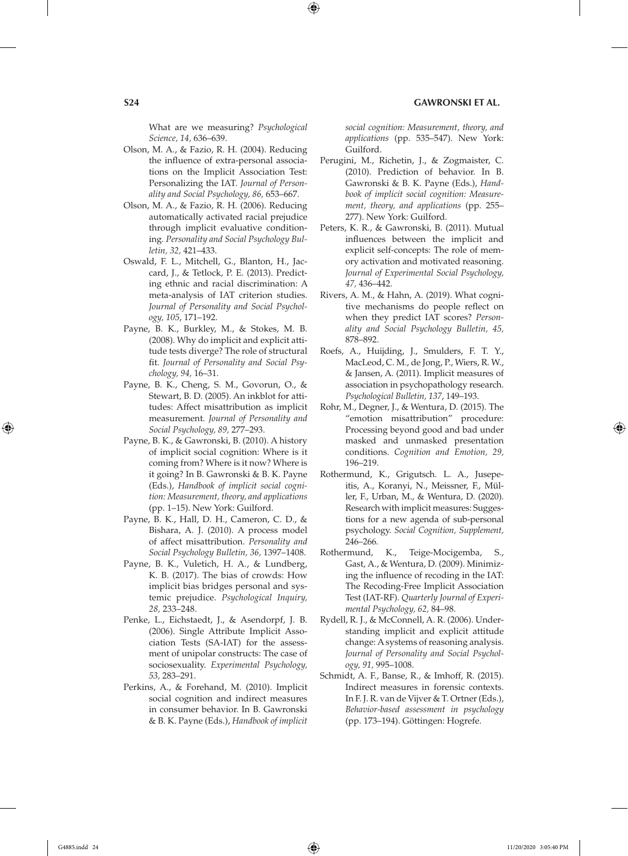What are we measuring? *Psychological Science, 14,* 636–639.

- Olson, M. A., & Fazio, R. H. (2004). Reducing the influence of extra-personal associations on the Implicit Association Test: Personalizing the IAT. *Journal of Personality and Social Psychology, 86,* 653–667.
- Olson, M. A., & Fazio, R. H. (2006). Reducing automatically activated racial prejudice through implicit evaluative conditioning*. Personality and Social Psychology Bulletin, 32,* 421–433.
- Oswald, F. L., Mitchell, G., Blanton, H., Jaccard, J., & Tetlock, P. E. (2013). Predicting ethnic and racial discrimination: A meta-analysis of IAT criterion studies. *Journal of Personality and Social Psychology, 105*, 171–192.
- Payne, B. K., Burkley, M., & Stokes, M. B. (2008). Why do implicit and explicit attitude tests diverge? The role of structural fit. *Journal of Personality and Social Psychology, 94,* 16–31.
- Payne, B. K., Cheng, S. M., Govorun, O., & Stewart, B. D. (2005). An inkblot for attitudes: Affect misattribution as implicit measurement. *Journal of Personality and Social Psychology, 89,* 277–293.
- Payne, B. K., & Gawronski, B. (2010). A history of implicit social cognition: Where is it coming from? Where is it now? Where is it going? In B. Gawronski & B. K. Payne (Eds.), *Handbook of implicit social cognition: Measurement, theory, and applications* (pp. 1–15). New York: Guilford.
- Payne, B. K., Hall, D. H., Cameron, C. D., & Bishara, A. J. (2010). A process model of affect misattribution. *Personality and Social Psychology Bulletin, 36,* 1397–1408.
- Payne, B. K., Vuletich, H. A., & Lundberg, K. B. (2017). The bias of crowds: How implicit bias bridges personal and systemic prejudice. *Psychological Inquiry, 28,* 233–248.
- Penke, L., Eichstaedt, J., & Asendorpf, J. B. (2006). Single Attribute Implicit Association Tests (SA-IAT) for the assessment of unipolar constructs: The case of sociosexuality. *Experimental Psychology, 53,* 283–291.
- Perkins, A., & Forehand, M. (2010). Implicit social cognition and indirect measures in consumer behavior. In B. Gawronski & B. K. Payne (Eds.), *Handbook of implicit*

*social cognition: Measurement, theory, and applications* (pp. 535–547). New York: Guilford.

- Perugini, M., Richetin, J., & Zogmaister, C. (2010). Prediction of behavior. In B. Gawronski & B. K. Payne (Eds.), *Handbook of implicit social cognition: Measurement, theory, and applications* (pp. 255– 277). New York: Guilford.
- Peters, K. R., & Gawronski, B. (2011). Mutual influences between the implicit and explicit self-concepts: The role of memory activation and motivated reasoning. *Journal of Experimental Social Psychology, 47,* 436–442.
- Rivers, A. M., & Hahn, A. (2019). What cognitive mechanisms do people reflect on when they predict IAT scores? *Personality and Social Psychology Bulletin, 45,* 878–892.
- Roefs, A., Huijding, J., Smulders, F. T. Y., MacLeod, C. M., de Jong, P., Wiers, R. W., & Jansen, A. (2011). Implicit measures of association in psychopathology research. *Psychological Bulletin, 137*, 149–193.
- Rohr, M., Degner, J., & Wentura, D. (2015). The "emotion misattribution" procedure: Processing beyond good and bad under masked and unmasked presentation conditions. *Cognition and Emotion, 29,* 196–219.
- Rothermund, K., Grigutsch. L. A., Jusepeitis, A., Koranyi, N., Meissner, F., Müller, F., Urban, M., & Wentura, D. (2020). Research with implicit measures: Suggestions for a new agenda of sub-personal psychology. *Social Cognition, Supplement,* 246–266.
- Rothermund, K., Teige-Mocigemba, S., Gast, A., & Wentura, D. (2009). Minimizing the influence of recoding in the IAT: The Recoding-Free Implicit Association Test (IAT-RF). *Quarterly Journal of Experimental Psychology, 62,* 84–98.
- Rydell, R. J., & McConnell, A. R. (2006). Understanding implicit and explicit attitude change: A systems of reasoning analysis. *Journal of Personality and Social Psychology, 91,* 995–1008.
- Schmidt, A. F., Banse, R., & Imhoff, R. (2015). Indirect measures in forensic contexts. In F. J. R. van de Vijver & T. Ortner (Eds.), *Behavior-based assessment in psychology* (pp. 173–194). Göttingen: Hogrefe.